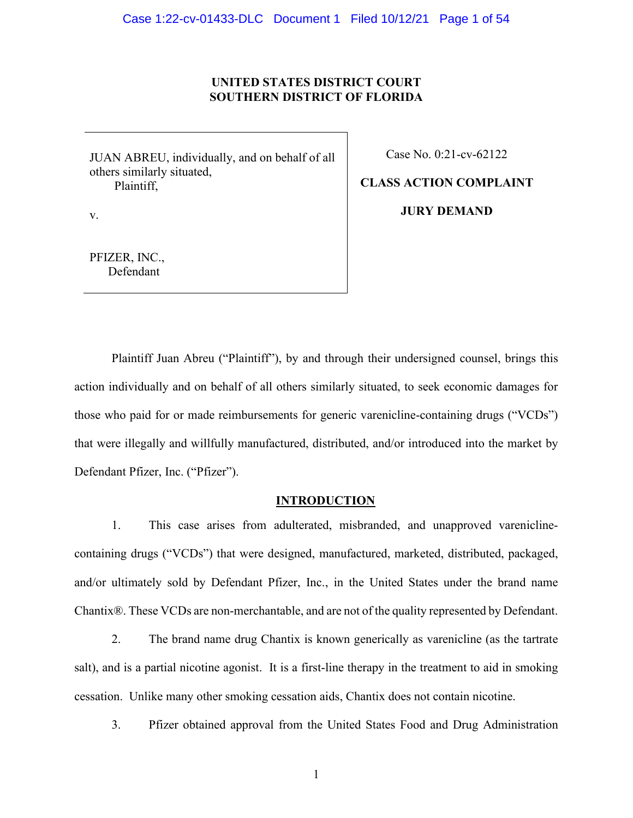## **UNITED STATES DISTRICT COURT SOUTHERN DISTRICT OF FLORIDA**

JUAN ABREU, individually, and on behalf of all others similarly situated, Plaintiff,

Case No. 0:21-cv-62122

**JURY DEMAND**

**CLASS ACTION COMPLAINT**

v.

PFIZER, INC., Defendant

Plaintiff Juan Abreu ("Plaintiff"), by and through their undersigned counsel, brings this action individually and on behalf of all others similarly situated, to seek economic damages for those who paid for or made reimbursements for generic varenicline-containing drugs ("VCDs") that were illegally and willfully manufactured, distributed, and/or introduced into the market by Defendant Pfizer, Inc. ("Pfizer").

## **INTRODUCTION**

1. This case arises from adulterated, misbranded, and unapproved vareniclinecontaining drugs ("VCDs") that were designed, manufactured, marketed, distributed, packaged, and/or ultimately sold by Defendant Pfizer, Inc., in the United States under the brand name Chantix®. These VCDs are non-merchantable, and are not of the quality represented by Defendant.

2. The brand name drug Chantix is known generically as varenicline (as the tartrate salt), and is a partial nicotine agonist. It is a first-line therapy in the treatment to aid in smoking cessation. Unlike many other smoking cessation aids, Chantix does not contain nicotine.

3. Pfizer obtained approval from the United States Food and Drug Administration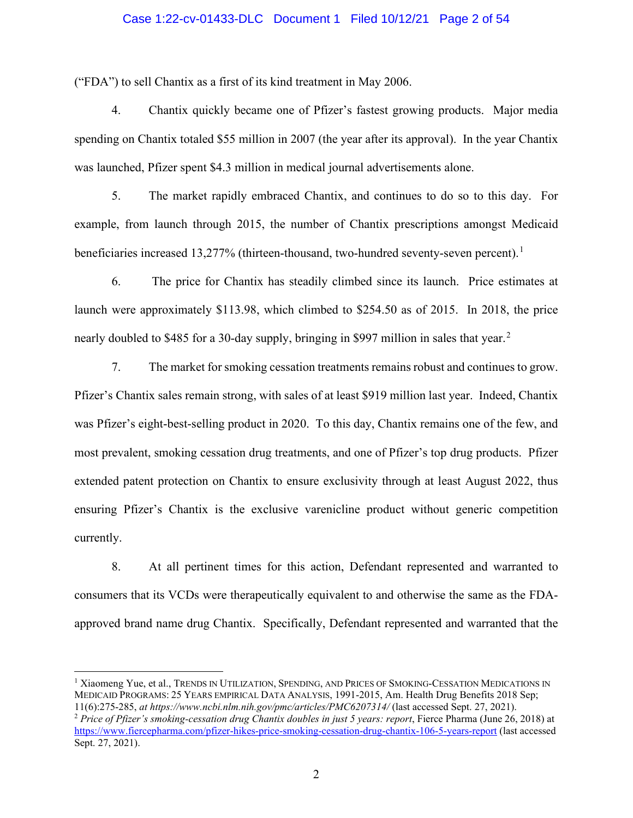### Case 1:22-cv-01433-DLC Document 1 Filed 10/12/21 Page 2 of 54

("FDA") to sell Chantix as a first of its kind treatment in May 2006.

4. Chantix quickly became one of Pfizer's fastest growing products. Major media spending on Chantix totaled \$55 million in 2007 (the year after its approval). In the year Chantix was launched, Pfizer spent \$4.3 million in medical journal advertisements alone.

5. The market rapidly embraced Chantix, and continues to do so to this day. For example, from launch through 2015, the number of Chantix prescriptions amongst Medicaid beneficiaries increased [1](#page-1-0)3,277% (thirteen-thousand, two-hundred seventy-seven percent).<sup>1</sup>

6. The price for Chantix has steadily climbed since its launch. Price estimates at launch were approximately \$113.98, which climbed to \$254.50 as of 2015. In 2018, the price nearly doubled to \$485 for a 30-day supply, bringing in \$997 million in sales that year.<sup>[2](#page-1-1)</sup>

7. The market for smoking cessation treatments remains robust and continues to grow. Pfizer's Chantix sales remain strong, with sales of at least \$919 million last year. Indeed, Chantix was Pfizer's eight-best-selling product in 2020. To this day, Chantix remains one of the few, and most prevalent, smoking cessation drug treatments, and one of Pfizer's top drug products. Pfizer extended patent protection on Chantix to ensure exclusivity through at least August 2022, thus ensuring Pfizer's Chantix is the exclusive varenicline product without generic competition currently.

8. At all pertinent times for this action, Defendant represented and warranted to consumers that its VCDs were therapeutically equivalent to and otherwise the same as the FDAapproved brand name drug Chantix. Specifically, Defendant represented and warranted that the

<span id="page-1-0"></span><sup>1</sup> Xiaomeng Yue, et al., TRENDS IN UTILIZATION, SPENDING, AND PRICES OF SMOKING-CESSATION MEDICATIONS IN MEDICAID PROGRAMS: 25 YEARS EMPIRICAL DATA ANALYSIS, 1991-2015, Am. Health Drug Benefits 2018 Sep; 11(6):275-285, *at https://www.ncbi.nlm.nih.gov/pmc/articles/PMC6207314/* (last accessed Sept. 27, 2021).

<span id="page-1-1"></span><sup>2</sup> *Price of Pfizer's smoking-cessation drug Chantix doubles in just 5 years: report*, Fierce Pharma (June 26, 2018) at <https://www.fiercepharma.com/pfizer-hikes-price-smoking-cessation-drug-chantix-106-5-years-report>(last accessed Sept. 27, 2021).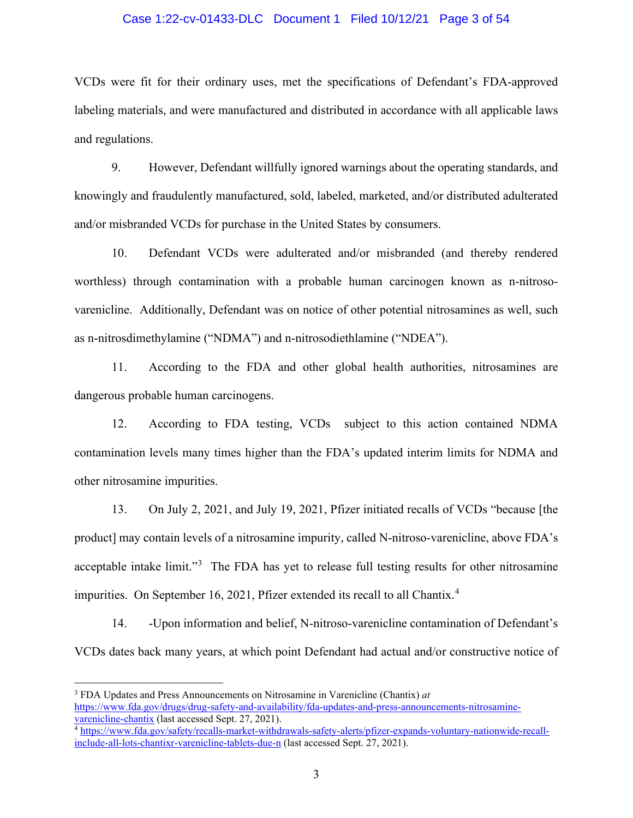### Case 1:22-cv-01433-DLC Document 1 Filed 10/12/21 Page 3 of 54

VCDs were fit for their ordinary uses, met the specifications of Defendant's FDA-approved labeling materials, and were manufactured and distributed in accordance with all applicable laws and regulations.

9. However, Defendant willfully ignored warnings about the operating standards, and knowingly and fraudulently manufactured, sold, labeled, marketed, and/or distributed adulterated and/or misbranded VCDs for purchase in the United States by consumers.

10. Defendant VCDs were adulterated and/or misbranded (and thereby rendered worthless) through contamination with a probable human carcinogen known as n-nitrosovarenicline. Additionally, Defendant was on notice of other potential nitrosamines as well, such as n-nitrosdimethylamine ("NDMA") and n-nitrosodiethlamine ("NDEA").

11. According to the FDA and other global health authorities, nitrosamines are dangerous probable human carcinogens.

12. According to FDA testing, VCDs subject to this action contained NDMA contamination levels many times higher than the FDA's updated interim limits for NDMA and other nitrosamine impurities.

13. On July 2, 2021, and July 19, 2021, Pfizer initiated recalls of VCDs "because [the product] may contain levels of a nitrosamine impurity, called N-nitroso-varenicline, above FDA's acceptable intake limit."<sup>[3](#page-2-0)</sup> The FDA has yet to release full testing results for other nitrosamine impurities. On September 16, 2021, Pfizer extended its recall to all Chantix.<sup>[4](#page-2-1)</sup>

14. -Upon information and belief, N-nitroso-varenicline contamination of Defendant's VCDs dates back many years, at which point Defendant had actual and/or constructive notice of

<span id="page-2-0"></span><sup>3</sup> FDA Updates and Press Announcements on Nitrosamine in Varenicline (Chantix) *at*  [https://www.fda.gov/drugs/drug-safety-and-availability/fda-updates-and-press-announcements-nitrosamine](https://www.fda.gov/drugs/drug-safety-and-availability/fda-updates-and-press-announcements-nitrosamine-varenicline-chantix)[varenicline-chantix](https://www.fda.gov/drugs/drug-safety-and-availability/fda-updates-and-press-announcements-nitrosamine-varenicline-chantix) (last accessed Sept. 27, 2021).

<span id="page-2-1"></span><sup>4</sup> [https://www.fda.gov/safety/recalls-market-withdrawals-safety-alerts/pfizer-expands-voluntary-nationwide-recall](https://www.fda.gov/safety/recalls-market-withdrawals-safety-alerts/pfizer-expands-voluntary-nationwide-recall-include-all-lots-chantixr-varenicline-tablets-due-n)[include-all-lots-chantixr-varenicline-tablets-due-n](https://www.fda.gov/safety/recalls-market-withdrawals-safety-alerts/pfizer-expands-voluntary-nationwide-recall-include-all-lots-chantixr-varenicline-tablets-due-n) (last accessed Sept. 27, 2021).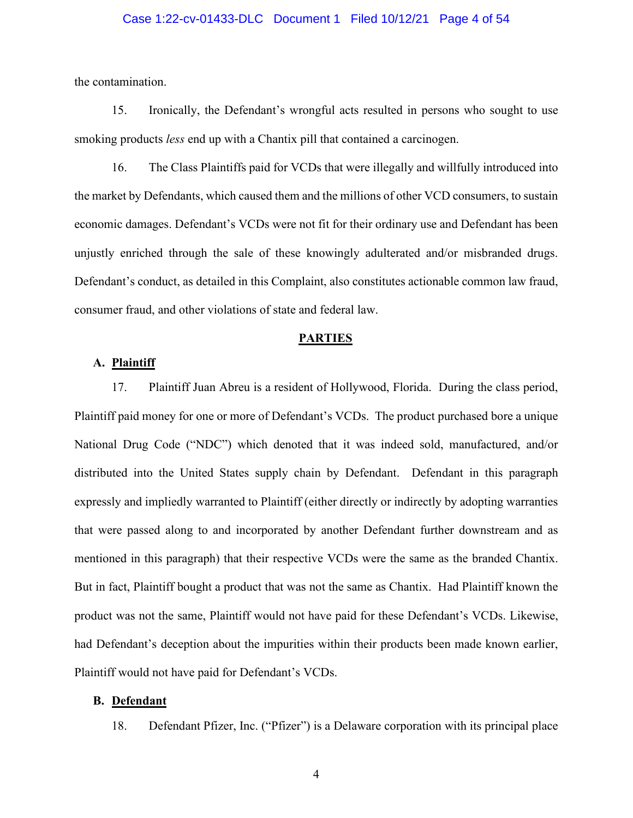### Case 1:22-cv-01433-DLC Document 1 Filed 10/12/21 Page 4 of 54

the contamination.

15. Ironically, the Defendant's wrongful acts resulted in persons who sought to use smoking products *less* end up with a Chantix pill that contained a carcinogen.

16. The Class Plaintiffs paid for VCDs that were illegally and willfully introduced into the market by Defendants, which caused them and the millions of other VCD consumers, to sustain economic damages. Defendant's VCDs were not fit for their ordinary use and Defendant has been unjustly enriched through the sale of these knowingly adulterated and/or misbranded drugs. Defendant's conduct, as detailed in this Complaint, also constitutes actionable common law fraud, consumer fraud, and other violations of state and federal law.

### **PARTIES**

### **A. Plaintiff**

17. Plaintiff Juan Abreu is a resident of Hollywood, Florida. During the class period, Plaintiff paid money for one or more of Defendant's VCDs. The product purchased bore a unique National Drug Code ("NDC") which denoted that it was indeed sold, manufactured, and/or distributed into the United States supply chain by Defendant. Defendant in this paragraph expressly and impliedly warranted to Plaintiff (either directly or indirectly by adopting warranties that were passed along to and incorporated by another Defendant further downstream and as mentioned in this paragraph) that their respective VCDs were the same as the branded Chantix. But in fact, Plaintiff bought a product that was not the same as Chantix. Had Plaintiff known the product was not the same, Plaintiff would not have paid for these Defendant's VCDs. Likewise, had Defendant's deception about the impurities within their products been made known earlier, Plaintiff would not have paid for Defendant's VCDs.

### **B. Defendant**

18. Defendant Pfizer, Inc. ("Pfizer") is a Delaware corporation with its principal place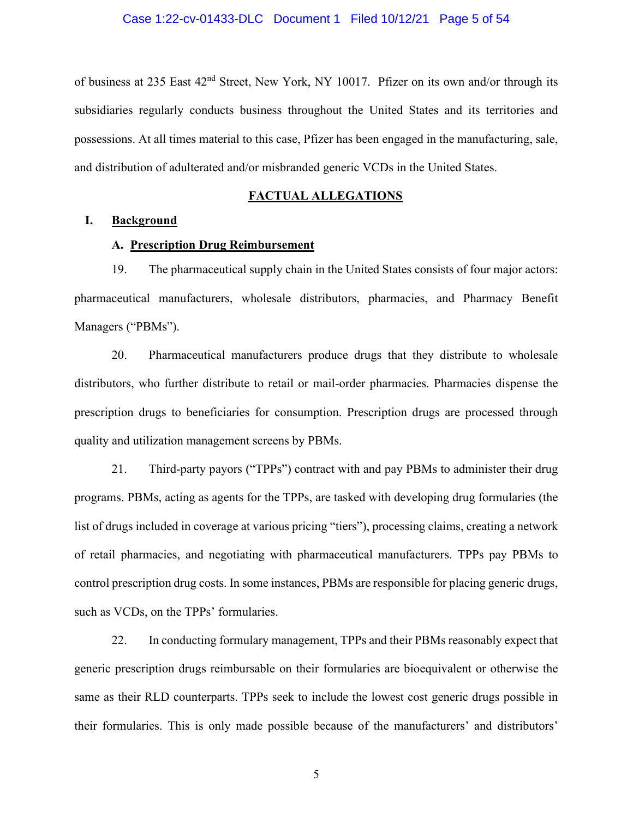of business at 235 East 42nd Street, New York, NY 10017. Pfizer on its own and/or through its subsidiaries regularly conducts business throughout the United States and its territories and possessions. At all times material to this case, Pfizer has been engaged in the manufacturing, sale, and distribution of adulterated and/or misbranded generic VCDs in the United States.

### **FACTUAL ALLEGATIONS**

### **I. Background**

## **A. Prescription Drug Reimbursement**

19. The pharmaceutical supply chain in the United States consists of four major actors: pharmaceutical manufacturers, wholesale distributors, pharmacies, and Pharmacy Benefit Managers ("PBMs").

20. Pharmaceutical manufacturers produce drugs that they distribute to wholesale distributors, who further distribute to retail or mail-order pharmacies. Pharmacies dispense the prescription drugs to beneficiaries for consumption. Prescription drugs are processed through quality and utilization management screens by PBMs.

21. Third-party payors ("TPPs") contract with and pay PBMs to administer their drug programs. PBMs, acting as agents for the TPPs, are tasked with developing drug formularies (the list of drugs included in coverage at various pricing "tiers"), processing claims, creating a network of retail pharmacies, and negotiating with pharmaceutical manufacturers. TPPs pay PBMs to control prescription drug costs. In some instances, PBMs are responsible for placing generic drugs, such as VCDs, on the TPPs' formularies.

22. In conducting formulary management, TPPs and their PBMs reasonably expect that generic prescription drugs reimbursable on their formularies are bioequivalent or otherwise the same as their RLD counterparts. TPPs seek to include the lowest cost generic drugs possible in their formularies. This is only made possible because of the manufacturers' and distributors'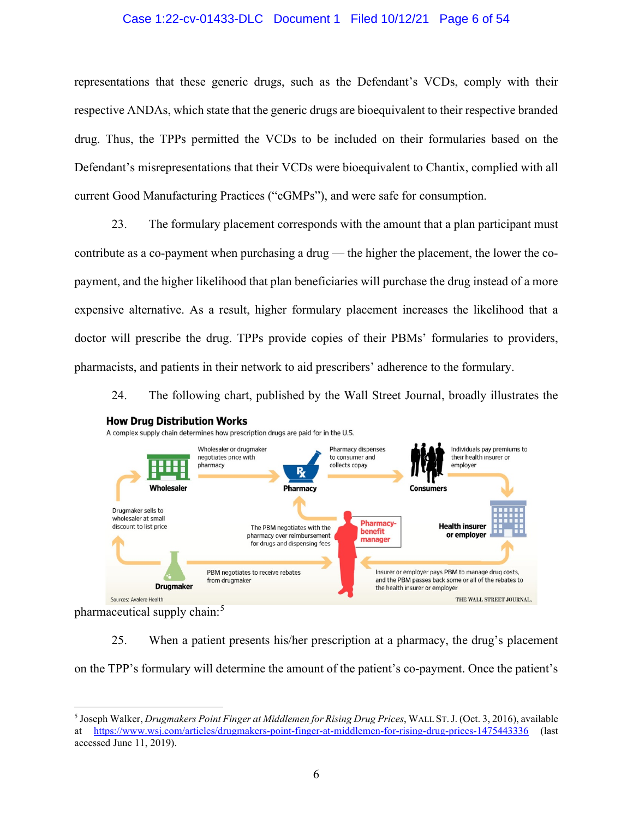### Case 1:22-cv-01433-DLC Document 1 Filed 10/12/21 Page 6 of 54

representations that these generic drugs, such as the Defendant's VCDs, comply with their respective ANDAs, which state that the generic drugs are bioequivalent to their respective branded drug. Thus, the TPPs permitted the VCDs to be included on their formularies based on the Defendant's misrepresentations that their VCDs were bioequivalent to Chantix, complied with all current Good Manufacturing Practices ("cGMPs"), and were safe for consumption.

23. The formulary placement corresponds with the amount that a plan participant must contribute as a co-payment when purchasing a drug — the higher the placement, the lower the copayment, and the higher likelihood that plan beneficiaries will purchase the drug instead of a more expensive alternative. As a result, higher formulary placement increases the likelihood that a doctor will prescribe the drug. TPPs provide copies of their PBMs' formularies to providers, pharmacists, and patients in their network to aid prescribers' adherence to the formulary.

24. The following chart, published by the Wall Street Journal, broadly illustrates the



**How Drug Distribution Works** 

pharmaceutical supply chain:<sup>[5](#page-5-0)</sup>

25. When a patient presents his/her prescription at a pharmacy, the drug's placement on the TPP's formulary will determine the amount of the patient's co-payment. Once the patient's

<span id="page-5-0"></span><sup>5</sup> Joseph Walker, *Drugmakers Point Finger at Middlemen for Rising Drug Prices*, WALL ST.J. (Oct. 3, 2016), available at <https://www.wsj.com/articles/drugmakers-point-finger-at-middlemen-for-rising-drug-prices-1475443336> (last accessed June 11, 2019).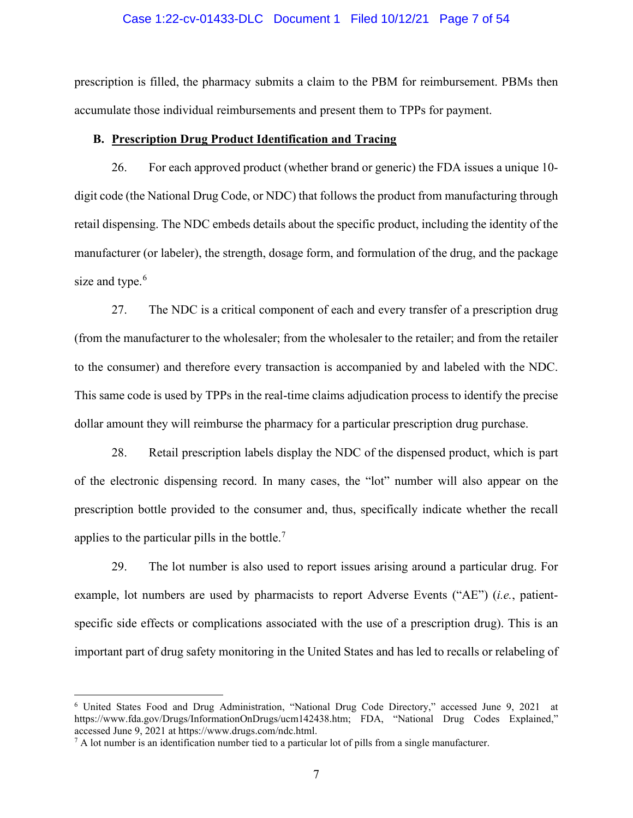#### Case 1:22-cv-01433-DLC Document 1 Filed 10/12/21 Page 7 of 54

prescription is filled, the pharmacy submits a claim to the PBM for reimbursement. PBMs then accumulate those individual reimbursements and present them to TPPs for payment.

### **B. Prescription Drug Product Identification and Tracing**

26. For each approved product (whether brand or generic) the FDA issues a unique 10 digit code (the National Drug Code, or NDC) that follows the product from manufacturing through retail dispensing. The NDC embeds details about the specific product, including the identity of the manufacturer (or labeler), the strength, dosage form, and formulation of the drug, and the package size and type.<sup>[6](#page-6-0)</sup>

27. The NDC is a critical component of each and every transfer of a prescription drug (from the manufacturer to the wholesaler; from the wholesaler to the retailer; and from the retailer to the consumer) and therefore every transaction is accompanied by and labeled with the NDC. This same code is used by TPPs in the real-time claims adjudication process to identify the precise dollar amount they will reimburse the pharmacy for a particular prescription drug purchase.

28. Retail prescription labels display the NDC of the dispensed product, which is part of the electronic dispensing record. In many cases, the "lot" number will also appear on the prescription bottle provided to the consumer and, thus, specifically indicate whether the recall applies to the particular pills in the bottle.<sup>[7](#page-6-1)</sup>

29. The lot number is also used to report issues arising around a particular drug. For example, lot numbers are used by pharmacists to report Adverse Events ("AE") (*i.e.*, patientspecific side effects or complications associated with the use of a prescription drug). This is an important part of drug safety monitoring in the United States and has led to recalls or relabeling of

<span id="page-6-0"></span><sup>6</sup> United States Food and Drug Administration, "National Drug Code Directory," accessed June 9, 2021 at https://www.fda.gov/Drugs/InformationOnDrugs/ucm142438.htm; FDA, "National Drug Codes Explained," accessed June 9, 2021 at https://www.drugs.com/ndc.html.

<span id="page-6-1"></span> $^7$  A lot number is an identification number tied to a particular lot of pills from a single manufacturer.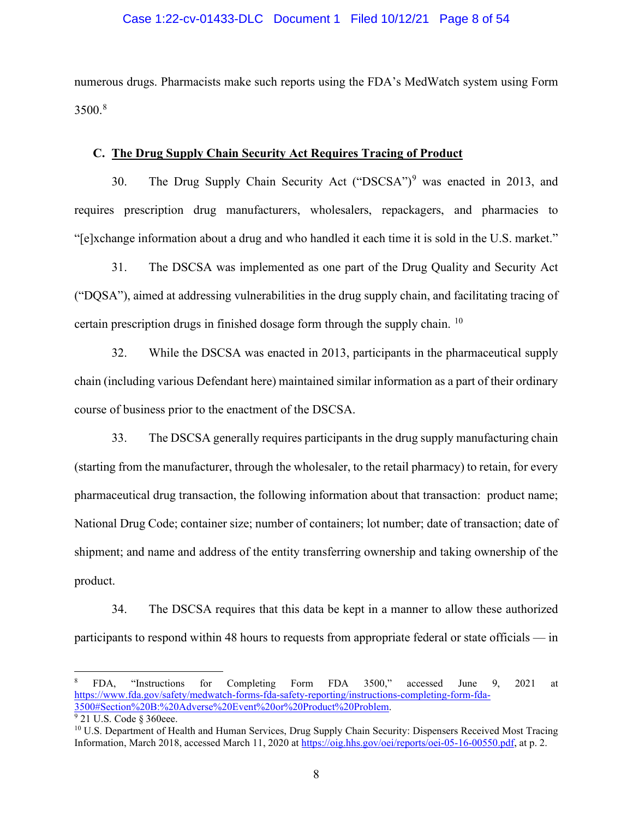### Case 1:22-cv-01433-DLC Document 1 Filed 10/12/21 Page 8 of 54

numerous drugs. Pharmacists make such reports using the FDA's MedWatch system using Form  $3500.<sup>8</sup>$  $3500.<sup>8</sup>$  $3500.<sup>8</sup>$ 

### **C. The Drug Supply Chain Security Act Requires Tracing of Product**

30. The Drug Supply Chain Security Act ("DSCSA")<sup>[9](#page-7-1)</sup> was enacted in 2013, and requires prescription drug manufacturers, wholesalers, repackagers, and pharmacies to "[e]xchange information about a drug and who handled it each time it is sold in the U.S. market."

31. The DSCSA was implemented as one part of the Drug Quality and Security Act ("DQSA"), aimed at addressing vulnerabilities in the drug supply chain, and facilitating tracing of certain prescription drugs in finished dosage form through the supply chain. <sup>[10](#page-7-2)</sup>

32. While the DSCSA was enacted in 2013, participants in the pharmaceutical supply chain (including various Defendant here) maintained similar information as a part of their ordinary course of business prior to the enactment of the DSCSA.

33. The DSCSA generally requires participants in the drug supply manufacturing chain (starting from the manufacturer, through the wholesaler, to the retail pharmacy) to retain, for every pharmaceutical drug transaction, the following information about that transaction: product name; National Drug Code; container size; number of containers; lot number; date of transaction; date of shipment; and name and address of the entity transferring ownership and taking ownership of the product.

34. The DSCSA requires that this data be kept in a manner to allow these authorized participants to respond within 48 hours to requests from appropriate federal or state officials — in

<span id="page-7-0"></span><sup>8</sup> FDA, "Instructions for Completing Form FDA 3500," accessed June 9, 2021 at [https://www.fda.gov/safety/medwatch-forms-fda-safety-reporting/instructions-completing-form-fda-](https://www.fda.gov/safety/medwatch-forms-fda-safety-reporting/instructions-completing-form-fda-3500#Section%20B:%20Adverse%20Event%20or%20Product%20Problem)[3500#Section%20B:%20Adverse%20Event%20or%20Product%20Problem.](https://www.fda.gov/safety/medwatch-forms-fda-safety-reporting/instructions-completing-form-fda-3500#Section%20B:%20Adverse%20Event%20or%20Product%20Problem) 

<span id="page-7-1"></span> $\sqrt[9]{21}$  U.S. Code § 360eee.

<span id="page-7-2"></span><sup>&</sup>lt;sup>10</sup> U.S. Department of Health and Human Services, Drug Supply Chain Security: Dispensers Received Most Tracing Information, March 2018, accessed March 11, 2020 a[t https://oig.hhs.gov/oei/reports/oei-05-16-00550.pdf,](https://oig.hhs.gov/oei/reports/oei-05-16-00550.pdf) at p. 2.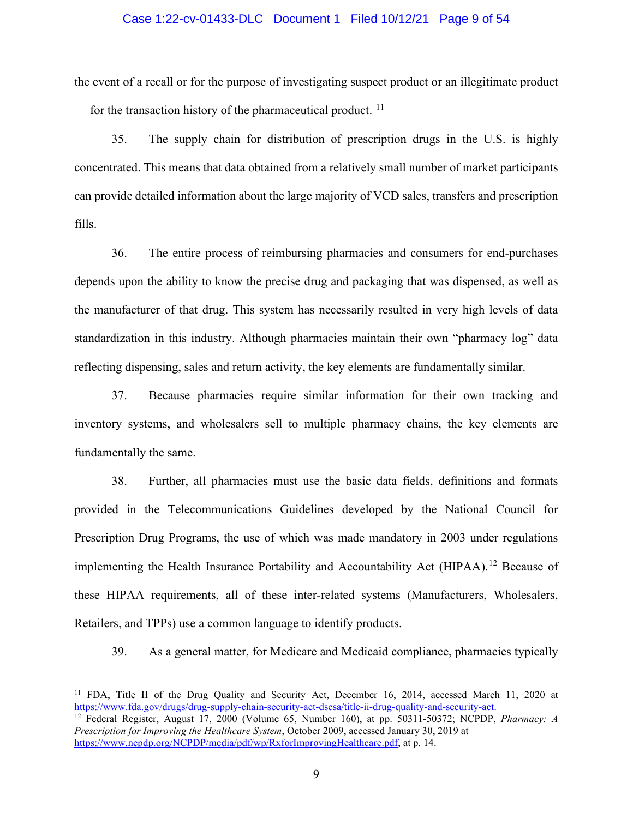### Case 1:22-cv-01433-DLC Document 1 Filed 10/12/21 Page 9 of 54

the event of a recall or for the purpose of investigating suspect product or an illegitimate product — for the transaction history of the pharmaceutical product.  $11$ 

35. The supply chain for distribution of prescription drugs in the U.S. is highly concentrated. This means that data obtained from a relatively small number of market participants can provide detailed information about the large majority of VCD sales, transfers and prescription fills.

36. The entire process of reimbursing pharmacies and consumers for end-purchases depends upon the ability to know the precise drug and packaging that was dispensed, as well as the manufacturer of that drug. This system has necessarily resulted in very high levels of data standardization in this industry. Although pharmacies maintain their own "pharmacy log" data reflecting dispensing, sales and return activity, the key elements are fundamentally similar.

37. Because pharmacies require similar information for their own tracking and inventory systems, and wholesalers sell to multiple pharmacy chains, the key elements are fundamentally the same.

38. Further, all pharmacies must use the basic data fields, definitions and formats provided in the Telecommunications Guidelines developed by the National Council for Prescription Drug Programs, the use of which was made mandatory in 2003 under regulations implementing the Health Insurance Portability and Accountability Act (HIPAA).<sup>[12](#page-8-1)</sup> Because of these HIPAA requirements, all of these inter-related systems (Manufacturers, Wholesalers, Retailers, and TPPs) use a common language to identify products.

39. As a general matter, for Medicare and Medicaid compliance, pharmacies typically

<span id="page-8-0"></span><sup>&</sup>lt;sup>11</sup> FDA, Title II of the Drug Quality and Security Act, December 16, 2014, accessed March 11, 2020 at [https://www.fda.gov/drugs/drug-supply-chain-security-act-dscsa/title-ii-drug-quality-and-security-act.](https://www.fda.gov/drugs/drug-supply-chain-security-act-dscsa/title-ii-drug-quality-and-security-act) <sup>12</sup> Federal Register, August 17, 2000 (Volume 65, Number 160), at pp. 50311-50372; NCPDP, *Pharmacy: A* 

<span id="page-8-1"></span>*Prescription for Improving the Healthcare System*, October 2009, accessed January 30, 2019 at [https://www.ncpdp.org/NCPDP/media/pdf/wp/RxforImprovingHealthcare.pdf,](https://www.ncpdp.org/NCPDP/media/pdf/wp/RxforImprovingHealthcare.pdf) at p. 14.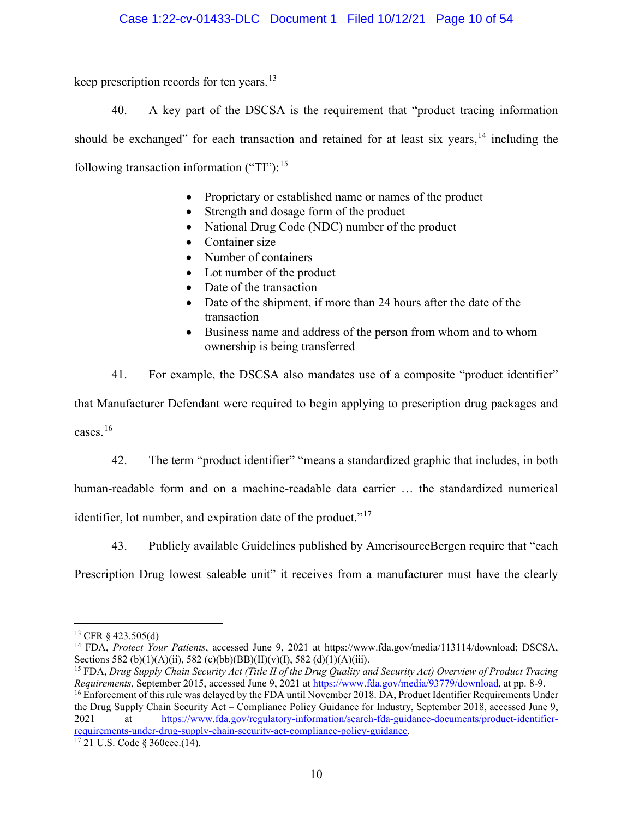## Case 1:22-cv-01433-DLC Document 1 Filed 10/12/21 Page 10 of 54

keep prescription records for ten years.<sup>[13](#page-9-0)</sup>

40. A key part of the DSCSA is the requirement that "product tracing information should be exchanged" for each transaction and retained for at least six years,  $14$  including the following transaction information ("TI"):  $15$ 

- Proprietary or established name or names of the product
- Strength and dosage form of the product
- National Drug Code (NDC) number of the product
- Container size
- Number of containers
- Lot number of the product
- Date of the transaction
- Date of the shipment, if more than 24 hours after the date of the transaction
- Business name and address of the person from whom and to whom ownership is being transferred
- 41. For example, the DSCSA also mandates use of a composite "product identifier"

that Manufacturer Defendant were required to begin applying to prescription drug packages and cases. [16](#page-9-3)

42. The term "product identifier" "means a standardized graphic that includes, in both

human-readable form and on a machine-readable data carrier … the standardized numerical

identifier, lot number, and expiration date of the product."<sup>[17](#page-9-4)</sup>

43. Publicly available Guidelines published by AmerisourceBergen require that "each

Prescription Drug lowest saleable unit" it receives from a manufacturer must have the clearly

<span id="page-9-3"></span>the Drug Supply Chain Security Act – Compliance Policy Guidance for Industry, September 2018, accessed June 9, 2021 at [https://www.fda.gov/regulatory-information/search-fda-guidance-documents/product-identifier](https://www.fda.gov/regulatory-information/search-fda-guidance-documents/product-identifier-requirements-under-drug-supply-chain-security-act-compliance-policy-guidance)[requirements-under-drug-supply-chain-security-act-compliance-policy-guidance.](https://www.fda.gov/regulatory-information/search-fda-guidance-documents/product-identifier-requirements-under-drug-supply-chain-security-act-compliance-policy-guidance)

<span id="page-9-0"></span><sup>13</sup> CFR § 423.505(d)

<span id="page-9-1"></span><sup>14</sup> FDA, *Protect Your Patients*, accessed June 9, 2021 at https://www.fda.gov/media/113114/download; DSCSA, Sections 582 (b)(1)(A)(ii), 582 (c)(bb)(BB)(II)(v)(I), 582 (d)(1)(A)(iii).

<span id="page-9-2"></span><sup>15</sup> FDA, *Drug Supply Chain Security Act (Title II of the Drug Quality and Security Act) Overview of Product Tracing Requirements*, September 2015, accessed June 9, 2021 at [https://www.fda.gov/media/93779/download,](https://www.fda.gov/media/93779/download) at pp. 8-9. <sup>16</sup> Enforcement of this rule was delayed by the FDA until November 2018. DA, Product Identifier Requirements Under

<span id="page-9-4"></span><sup>17</sup> 21 U.S. Code § 360eee.(14).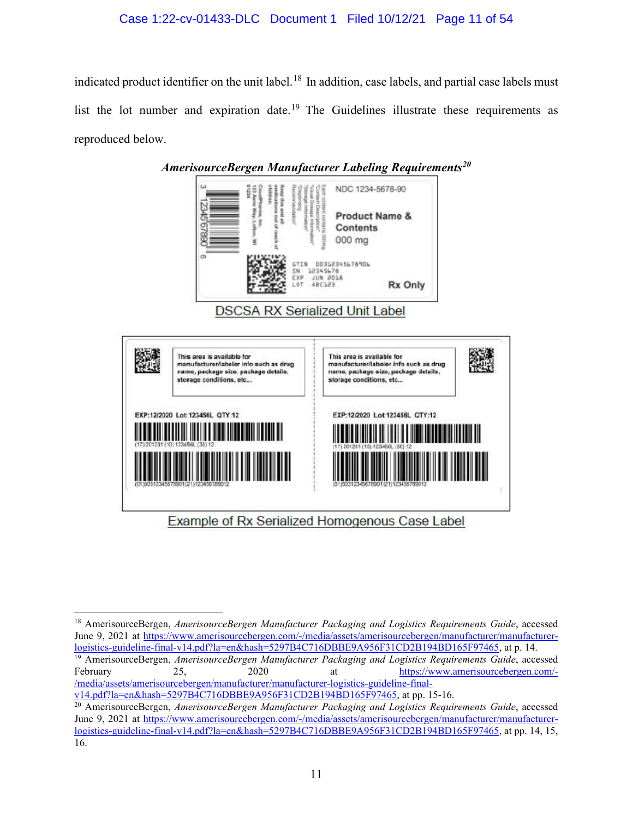# Case 1:22-cv-01433-DLC Document 1 Filed 10/12/21 Page 11 of 54

indicated product identifier on the unit label.<sup>[18](#page-10-0)</sup> In addition, case labels, and partial case labels must list the lot number and expiration date.<sup>[19](#page-10-1)</sup> The Guidelines illustrate these requirements as reproduced below.



<span id="page-10-0"></span><sup>18</sup> AmerisourceBergen, *AmerisourceBergen Manufacturer Packaging and Logistics Requirements Guide*, accessed June 9, 2021 at [https://www.amerisourcebergen.com/-/media/assets/amerisourcebergen/manufacturer/manufacturer](https://www.amerisourcebergen.com/-/media/assets/amerisourcebergen/manufacturer/manufacturer-logistics-guideline-final-v14.pdf?la=en&hash=5297B4C716DBBE9A956F31CD2B194BD165F97465)[logistics-guideline-final-v14.pdf?la=en&hash=5297B4C716DBBE9A956F31CD2B194BD165F97465,](https://www.amerisourcebergen.com/-/media/assets/amerisourcebergen/manufacturer/manufacturer-logistics-guideline-final-v14.pdf?la=en&hash=5297B4C716DBBE9A956F31CD2B194BD165F97465) at p. 14.

<span id="page-10-1"></span><sup>19</sup> AmerisourceBergen, *AmerisourceBergen Manufacturer Packaging and Logistics Requirements Guide*, accessed February 25, 2020 at [https://www.amerisourcebergen.com/-](https://www.amerisourcebergen.com/-/media/assets/amerisourcebergen/manufacturer/manufacturer-logistics-guideline-final-v14.pdf?la=en&hash=5297B4C716DBBE9A956F31CD2B194BD165F97465) [/media/assets/amerisourcebergen/manufacturer/manufacturer-logistics-guideline-final](https://www.amerisourcebergen.com/-/media/assets/amerisourcebergen/manufacturer/manufacturer-logistics-guideline-final-v14.pdf?la=en&hash=5297B4C716DBBE9A956F31CD2B194BD165F97465)[v14.pdf?la=en&hash=5297B4C716DBBE9A956F31CD2B194BD165F97465,](https://www.amerisourcebergen.com/-/media/assets/amerisourcebergen/manufacturer/manufacturer-logistics-guideline-final-v14.pdf?la=en&hash=5297B4C716DBBE9A956F31CD2B194BD165F97465) at pp. 15-16.

<span id="page-10-2"></span><sup>20</sup> AmerisourceBergen, *AmerisourceBergen Manufacturer Packaging and Logistics Requirements Guide*, accessed June 9, 2021 at [https://www.amerisourcebergen.com/-/media/assets/amerisourcebergen/manufacturer/manufacturer](https://www.amerisourcebergen.com/-/media/assets/amerisourcebergen/manufacturer/manufacturer-logistics-guideline-final-v14.pdf?la=en&hash=5297B4C716DBBE9A956F31CD2B194BD165F97465)[logistics-guideline-final-v14.pdf?la=en&hash=5297B4C716DBBE9A956F31CD2B194BD165F97465,](https://www.amerisourcebergen.com/-/media/assets/amerisourcebergen/manufacturer/manufacturer-logistics-guideline-final-v14.pdf?la=en&hash=5297B4C716DBBE9A956F31CD2B194BD165F97465) at pp. 14, 15, 16.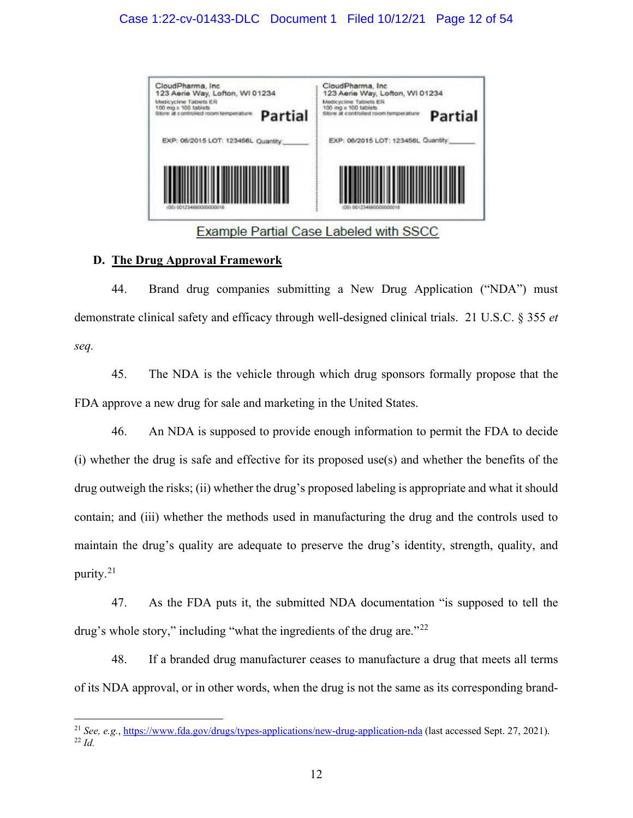

**Example Partial Case Labeled with SSCC** 

# **D. The Drug Approval Framework**

44. Brand drug companies submitting a New Drug Application ("NDA") must demonstrate clinical safety and efficacy through well-designed clinical trials. 21 U.S.C. § 355 *et seq.*

45. The NDA is the vehicle through which drug sponsors formally propose that the FDA approve a new drug for sale and marketing in the United States.

46. An NDA is supposed to provide enough information to permit the FDA to decide (i) whether the drug is safe and effective for its proposed use(s) and whether the benefits of the drug outweigh the risks; (ii) whether the drug's proposed labeling is appropriate and what it should contain; and (iii) whether the methods used in manufacturing the drug and the controls used to maintain the drug's quality are adequate to preserve the drug's identity, strength, quality, and purity.<sup>[21](#page-11-0)</sup>

47. As the FDA puts it, the submitted NDA documentation "is supposed to tell the drug's whole story," including "what the ingredients of the drug are."<sup>[22](#page-11-1)</sup>

48. If a branded drug manufacturer ceases to manufacture a drug that meets all terms of its NDA approval, or in other words, when the drug is not the same as its corresponding brand-

<span id="page-11-1"></span><span id="page-11-0"></span><sup>21</sup> *See, e.g.*,<https://www.fda.gov/drugs/types-applications/new-drug-application-nda>(last accessed Sept. 27, 2021). <sup>22</sup> *Id.*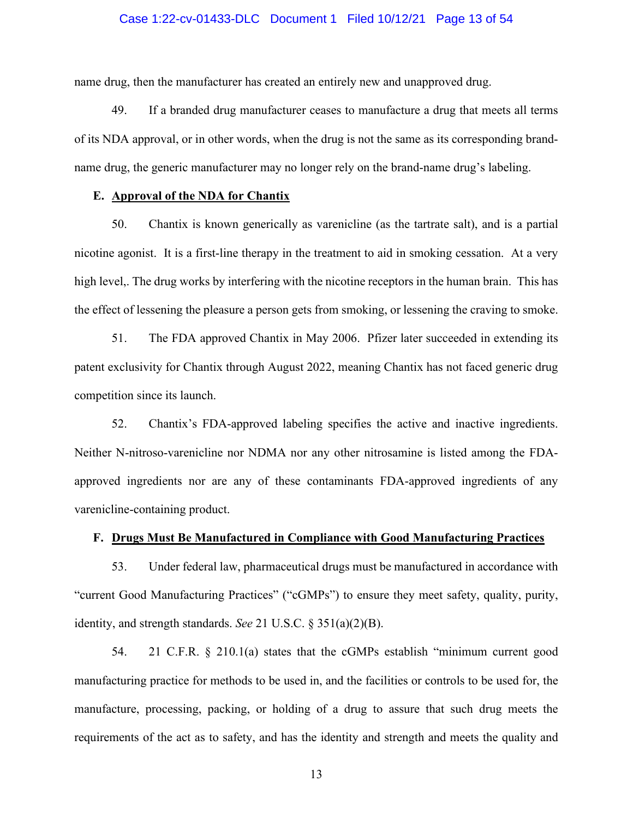### Case 1:22-cv-01433-DLC Document 1 Filed 10/12/21 Page 13 of 54

name drug, then the manufacturer has created an entirely new and unapproved drug.

49. If a branded drug manufacturer ceases to manufacture a drug that meets all terms of its NDA approval, or in other words, when the drug is not the same as its corresponding brandname drug, the generic manufacturer may no longer rely on the brand-name drug's labeling.

### **E. Approval of the NDA for Chantix**

50. Chantix is known generically as varenicline (as the tartrate salt), and is a partial nicotine agonist. It is a first-line therapy in the treatment to aid in smoking cessation. At a very high level,. The drug works by interfering with the nicotine receptors in the human brain. This has the effect of lessening the pleasure a person gets from smoking, or lessening the craving to smoke.

51. The FDA approved Chantix in May 2006. Pfizer later succeeded in extending its patent exclusivity for Chantix through August 2022, meaning Chantix has not faced generic drug competition since its launch.

52. Chantix's FDA-approved labeling specifies the active and inactive ingredients. Neither N-nitroso-varenicline nor NDMA nor any other nitrosamine is listed among the FDAapproved ingredients nor are any of these contaminants FDA-approved ingredients of any varenicline-containing product.

#### **F. Drugs Must Be Manufactured in Compliance with Good Manufacturing Practices**

53. Under federal law, pharmaceutical drugs must be manufactured in accordance with "current Good Manufacturing Practices" ("cGMPs") to ensure they meet safety, quality, purity, identity, and strength standards. *See* 21 U.S.C. § 351(a)(2)(B).

54. 21 C.F.R. § 210.1(a) states that the cGMPs establish "minimum current good manufacturing practice for methods to be used in, and the facilities or controls to be used for, the manufacture, processing, packing, or holding of a drug to assure that such drug meets the requirements of the act as to safety, and has the identity and strength and meets the quality and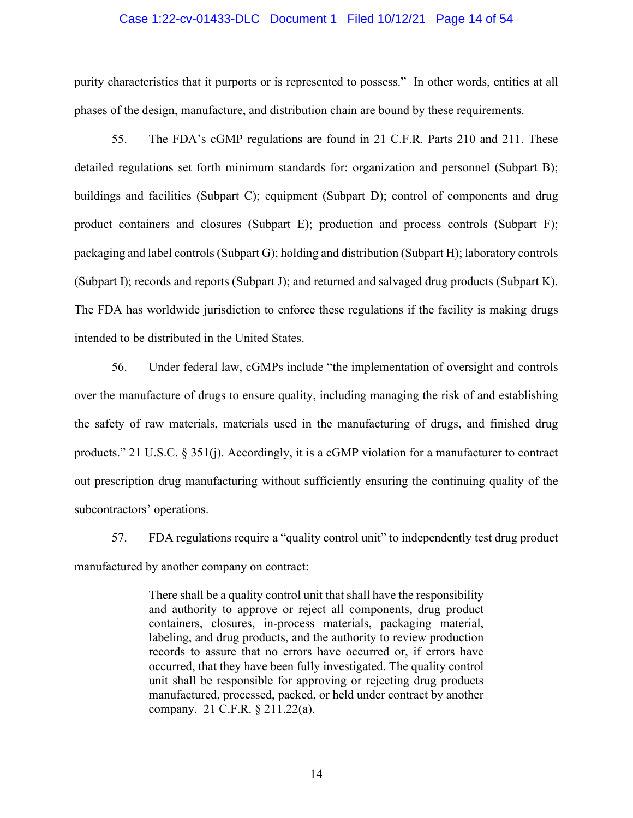### Case 1:22-cv-01433-DLC Document 1 Filed 10/12/21 Page 14 of 54

purity characteristics that it purports or is represented to possess." In other words, entities at all phases of the design, manufacture, and distribution chain are bound by these requirements.

55. The FDA's cGMP regulations are found in 21 C.F.R. Parts 210 and 211. These detailed regulations set forth minimum standards for: organization and personnel (Subpart B); buildings and facilities (Subpart C); equipment (Subpart D); control of components and drug product containers and closures (Subpart E); production and process controls (Subpart F); packaging and label controls (Subpart G); holding and distribution (Subpart H); laboratory controls (Subpart I); records and reports (Subpart J); and returned and salvaged drug products (Subpart K). The FDA has worldwide jurisdiction to enforce these regulations if the facility is making drugs intended to be distributed in the United States.

56. Under federal law, cGMPs include "the implementation of oversight and controls over the manufacture of drugs to ensure quality, including managing the risk of and establishing the safety of raw materials, materials used in the manufacturing of drugs, and finished drug products." 21 U.S.C. § 351(j). Accordingly, it is a cGMP violation for a manufacturer to contract out prescription drug manufacturing without sufficiently ensuring the continuing quality of the subcontractors' operations.

57. FDA regulations require a "quality control unit" to independently test drug product manufactured by another company on contract:

> There shall be a quality control unit that shall have the responsibility and authority to approve or reject all components, drug product containers, closures, in-process materials, packaging material, labeling, and drug products, and the authority to review production records to assure that no errors have occurred or, if errors have occurred, that they have been fully investigated. The quality control unit shall be responsible for approving or rejecting drug products manufactured, processed, packed, or held under contract by another company. 21 C.F.R. § 211.22(a).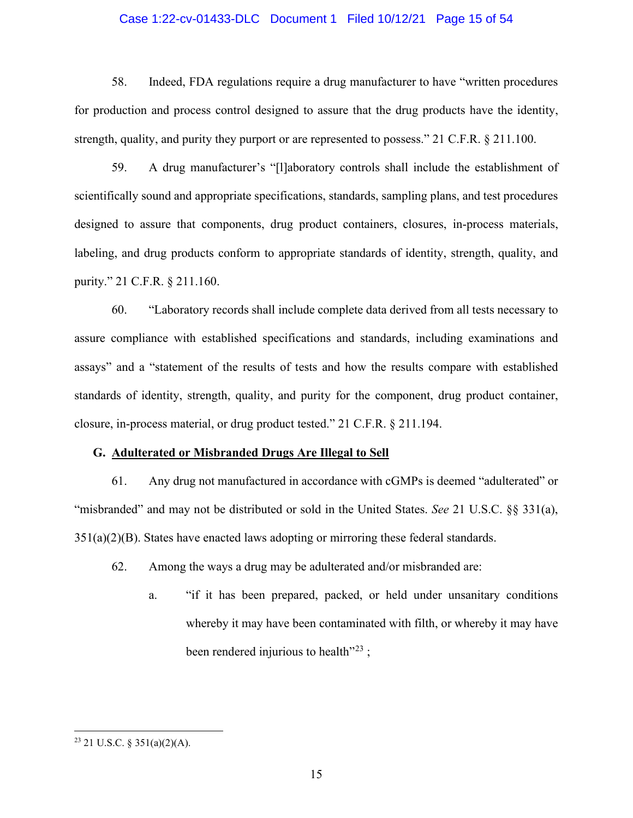### Case 1:22-cv-01433-DLC Document 1 Filed 10/12/21 Page 15 of 54

58. Indeed, FDA regulations require a drug manufacturer to have "written procedures for production and process control designed to assure that the drug products have the identity, strength, quality, and purity they purport or are represented to possess." 21 C.F.R. § 211.100.

59. A drug manufacturer's "[l]aboratory controls shall include the establishment of scientifically sound and appropriate specifications, standards, sampling plans, and test procedures designed to assure that components, drug product containers, closures, in-process materials, labeling, and drug products conform to appropriate standards of identity, strength, quality, and purity." 21 C.F.R. § 211.160.

60. "Laboratory records shall include complete data derived from all tests necessary to assure compliance with established specifications and standards, including examinations and assays" and a "statement of the results of tests and how the results compare with established standards of identity, strength, quality, and purity for the component, drug product container, closure, in-process material, or drug product tested." 21 C.F.R. § 211.194.

#### **G. Adulterated or Misbranded Drugs Are Illegal to Sell**

61. Any drug not manufactured in accordance with cGMPs is deemed "adulterated" or "misbranded" and may not be distributed or sold in the United States. *See* 21 U.S.C. §§ 331(a),  $351(a)(2)(B)$ . States have enacted laws adopting or mirroring these federal standards.

- 62. Among the ways a drug may be adulterated and/or misbranded are:
	- a. "if it has been prepared, packed, or held under unsanitary conditions whereby it may have been contaminated with filth, or whereby it may have been rendered injurious to health $^{23}$  $^{23}$  $^{23}$ :

<span id="page-14-0"></span> $23$  21 U.S.C. § 351(a)(2)(A).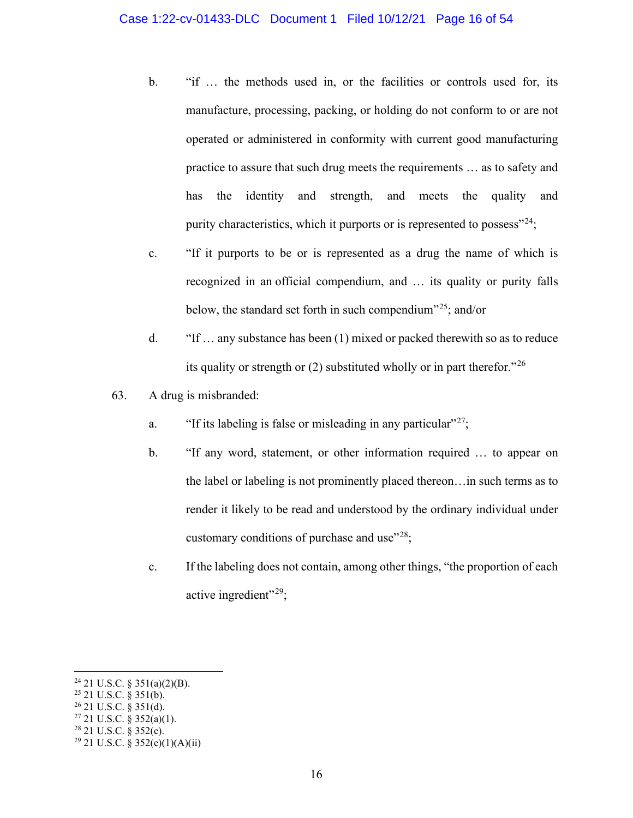- b. "if … the methods used in, or the facilities or controls used for, its manufacture, processing, packing, or holding do not conform to or are not operated or administered in conformity with current good manufacturing practice to assure that such drug meets the requirements … as to safety and has the identity and strength, and meets the quality and purity characteristics, which it purports or is represented to possess"<sup>[24](#page-15-0)</sup>;
- c. "If it purports to be or is represented as a drug the name of which is recognized in an official compendium, and … its quality or purity falls below, the standard set forth in such compendium<sup> $25$ </sup>; and/or
- d. "If … any substance has been (1) mixed or packed therewith so as to reduce its quality or strength or (2) substituted wholly or in part therefor.<sup>"[26](#page-15-2)</sup>
- 63. A drug is misbranded:
	- a. "If its labeling is false or misleading in any particular"  $27$ ;
	- b. "If any word, statement, or other information required … to appear on the label or labeling is not prominently placed thereon…in such terms as to render it likely to be read and understood by the ordinary individual under customary conditions of purchase and use $^{228}$  $^{228}$  $^{228}$ ;
	- c. If the labeling does not contain, among other things, "the proportion of each active ingredient"<sup>[29](#page-15-5)</sup>;

<span id="page-15-0"></span> $24$  21 U.S.C. § 351(a)(2)(B).

<span id="page-15-1"></span><sup>25</sup> 21 U.S.C. § 351(b).

<span id="page-15-2"></span> $26$  21 U.S.C. § 351(d).

<span id="page-15-3"></span> $27$  21 U.S.C. § 352(a)(1).  $28$  21 U.S.C.  $\frac{25}{2}$  352(c).

<span id="page-15-4"></span>

<span id="page-15-5"></span> $29$  21 U.S.C. § 352(e)(1)(A)(ii)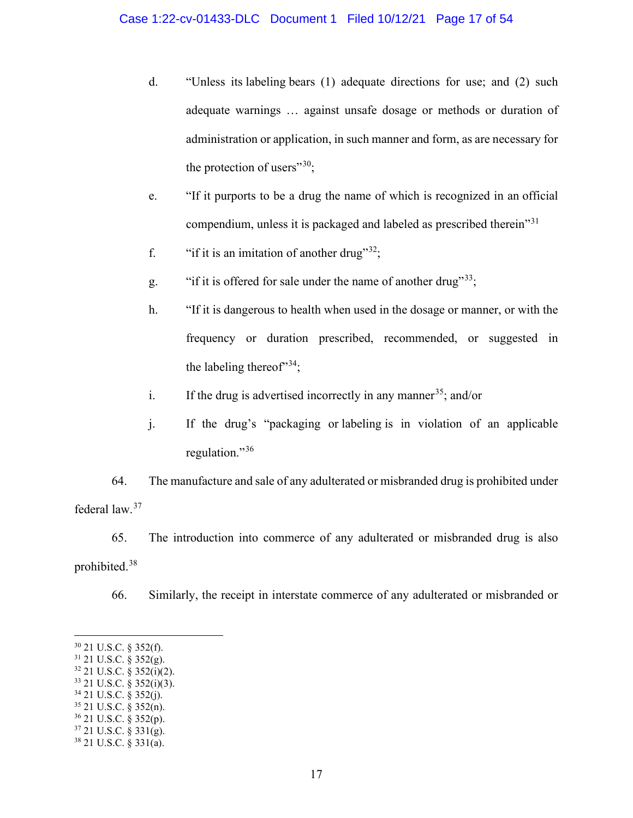- d. "Unless its labeling bears (1) adequate directions for use; and (2) such adequate warnings … against unsafe dosage or methods or duration of administration or application, in such manner and form, as are necessary for the protection of users" $30$ ;
- e. "If it purports to be a drug the name of which is recognized in an official compendium, unless it is packaged and labeled as prescribed therein"[31](#page-16-1)
- f. "if it is an imitation of another drug"<sup>[32](#page-16-2)</sup>;
- g. "if it is offered for sale under the name of another drug"<sup>[33](#page-16-3)</sup>;
- h. "If it is dangerous to health when used in the dosage or manner, or with the frequency or duration prescribed, recommended, or suggested in the labeling thereof<sup> $34$ </sup>;
- i. If the drug is advertised incorrectly in any manner<sup>[35](#page-16-5)</sup>; and/or
- j. If the drug's "packaging or labeling is in violation of an applicable regulation."<sup>[36](#page-16-6)</sup>

64. The manufacture and sale of any adulterated or misbranded drug is prohibited under federal law.[37](#page-16-7)

65. The introduction into commerce of any adulterated or misbranded drug is also prohibited.[38](#page-16-8)

66. Similarly, the receipt in interstate commerce of any adulterated or misbranded or

<span id="page-16-3"></span> $33$  21 U.S.C. § 352(i)(3).

<span id="page-16-0"></span><sup>30</sup> 21 U.S.C. § 352(f).

<span id="page-16-1"></span> $31$  21 U.S.C. § 352(g).

<span id="page-16-2"></span> $32$  21 U.S.C. § 352(i)(2).

<span id="page-16-4"></span> $34$  21 U.S.C. § 352(j).

<span id="page-16-5"></span><sup>35</sup> 21 U.S.C. § 352(n). <sup>36</sup> 21 U.S.C. § 352(p).

<span id="page-16-6"></span> $37$  21 U.S.C.  $\frac{2331}{g}$ .

<span id="page-16-8"></span><span id="page-16-7"></span><sup>38</sup> 21 U.S.C. § 331(a).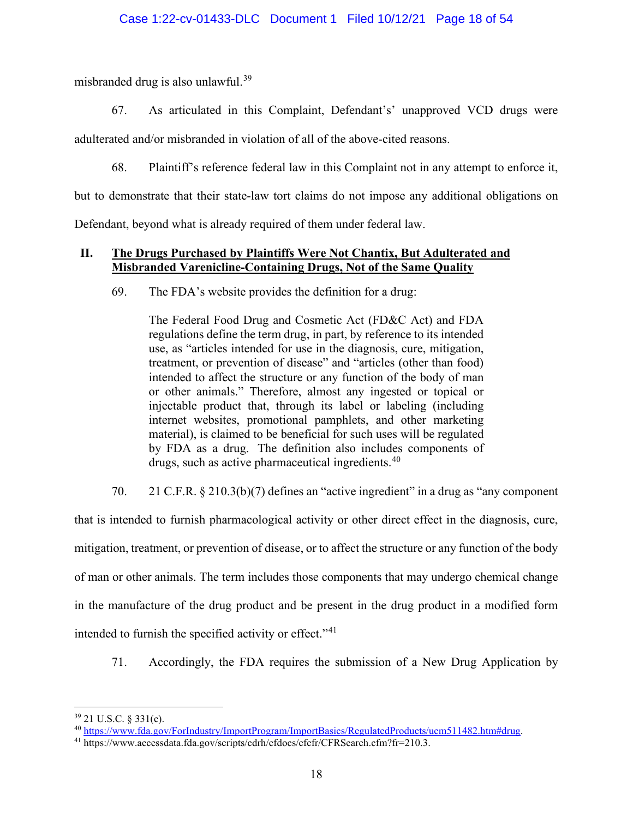## Case 1:22-cv-01433-DLC Document 1 Filed 10/12/21 Page 18 of 54

misbranded drug is also unlawful.<sup>[39](#page-17-0)</sup>

67. As articulated in this Complaint, Defendant's' unapproved VCD drugs were

adulterated and/or misbranded in violation of all of the above-cited reasons.

68. Plaintiff's reference federal law in this Complaint not in any attempt to enforce it,

but to demonstrate that their state-law tort claims do not impose any additional obligations on

Defendant, beyond what is already required of them under federal law.

# **II. The Drugs Purchased by Plaintiffs Were Not Chantix, But Adulterated and Misbranded Varenicline-Containing Drugs, Not of the Same Quality**

69. The FDA's website provides the definition for a drug:

The Federal Food Drug and Cosmetic Act (FD&C Act) and FDA regulations define the term drug, in part, by reference to its intended use, as "articles intended for use in the diagnosis, cure, mitigation, treatment, or prevention of disease" and "articles (other than food) intended to affect the structure or any function of the body of man or other animals." Therefore, almost any ingested or topical or injectable product that, through its label or labeling (including internet websites, promotional pamphlets, and other marketing material), is claimed to be beneficial for such uses will be regulated by FDA as a drug. The definition also includes components of drugs, such as active pharmaceutical ingredients.<sup>[40](#page-17-1)</sup>

70. 21 C.F.R. § 210.3(b)(7) defines an "active ingredient" in a drug as "any component

that is intended to furnish pharmacological activity or other direct effect in the diagnosis, cure, mitigation, treatment, or prevention of disease, or to affect the structure or any function of the body of man or other animals. The term includes those components that may undergo chemical change in the manufacture of the drug product and be present in the drug product in a modified form intended to furnish the specified activity or effect."<sup>[41](#page-17-2)</sup>

71. Accordingly, the FDA requires the submission of a New Drug Application by

<span id="page-17-0"></span><sup>39</sup> 21 U.S.C. § 331(c).

<span id="page-17-1"></span><sup>40</sup> [https://www.fda.gov/ForIndustry/ImportProgram/ImportBasics/RegulatedProducts/ucm511482.htm#drug.](https://www.fda.gov/ForIndustry/ImportProgram/ImportBasics/RegulatedProducts/ucm511482.htm#drug)

<span id="page-17-2"></span><sup>41</sup> https://www.accessdata.fda.gov/scripts/cdrh/cfdocs/cfcfr/CFRSearch.cfm?fr=210.3.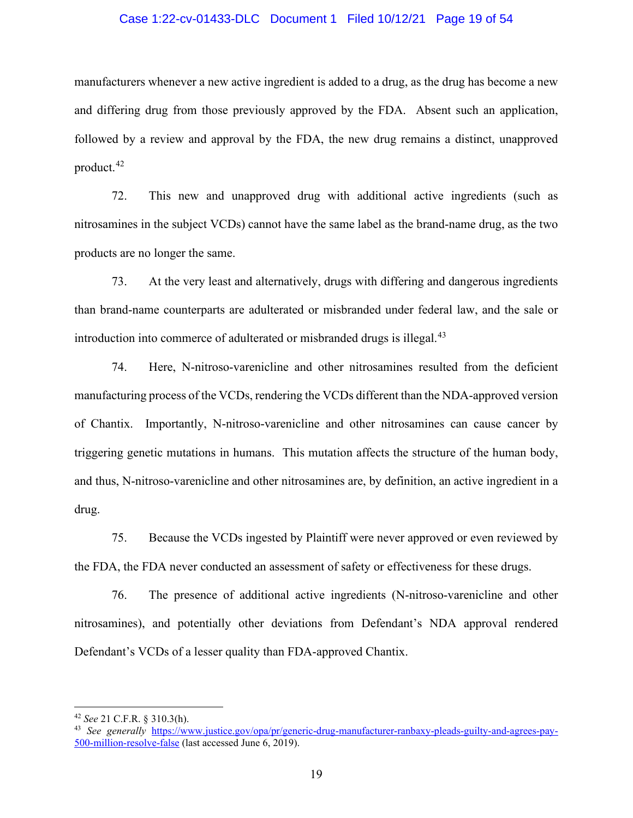### Case 1:22-cv-01433-DLC Document 1 Filed 10/12/21 Page 19 of 54

manufacturers whenever a new active ingredient is added to a drug, as the drug has become a new and differing drug from those previously approved by the FDA. Absent such an application, followed by a review and approval by the FDA, the new drug remains a distinct, unapproved product.[42](#page-18-0)

72. This new and unapproved drug with additional active ingredients (such as nitrosamines in the subject VCDs) cannot have the same label as the brand-name drug, as the two products are no longer the same.

73. At the very least and alternatively, drugs with differing and dangerous ingredients than brand-name counterparts are adulterated or misbranded under federal law, and the sale or introduction into commerce of adulterated or misbranded drugs is illegal. $43$ 

74. Here, N-nitroso-varenicline and other nitrosamines resulted from the deficient manufacturing process of the VCDs, rendering the VCDs different than the NDA-approved version of Chantix. Importantly, N-nitroso-varenicline and other nitrosamines can cause cancer by triggering genetic mutations in humans. This mutation affects the structure of the human body, and thus, N-nitroso-varenicline and other nitrosamines are, by definition, an active ingredient in a drug.

75. Because the VCDs ingested by Plaintiff were never approved or even reviewed by the FDA, the FDA never conducted an assessment of safety or effectiveness for these drugs.

76. The presence of additional active ingredients (N-nitroso-varenicline and other nitrosamines), and potentially other deviations from Defendant's NDA approval rendered Defendant's VCDs of a lesser quality than FDA-approved Chantix.

<span id="page-18-0"></span><sup>42</sup> *See* 21 C.F.R. § 310.3(h).

<span id="page-18-1"></span><sup>43</sup> *See generally* [https://www.justice.gov/opa/pr/generic-drug-manufacturer-ranbaxy-pleads-guilty-and-agrees-pay-](https://www.justice.gov/opa/pr/generic-drug-manufacturer-ranbaxy-pleads-guilty-and-agrees-pay-500-million-resolve-false)[500-million-resolve-false](https://www.justice.gov/opa/pr/generic-drug-manufacturer-ranbaxy-pleads-guilty-and-agrees-pay-500-million-resolve-false) (last accessed June 6, 2019).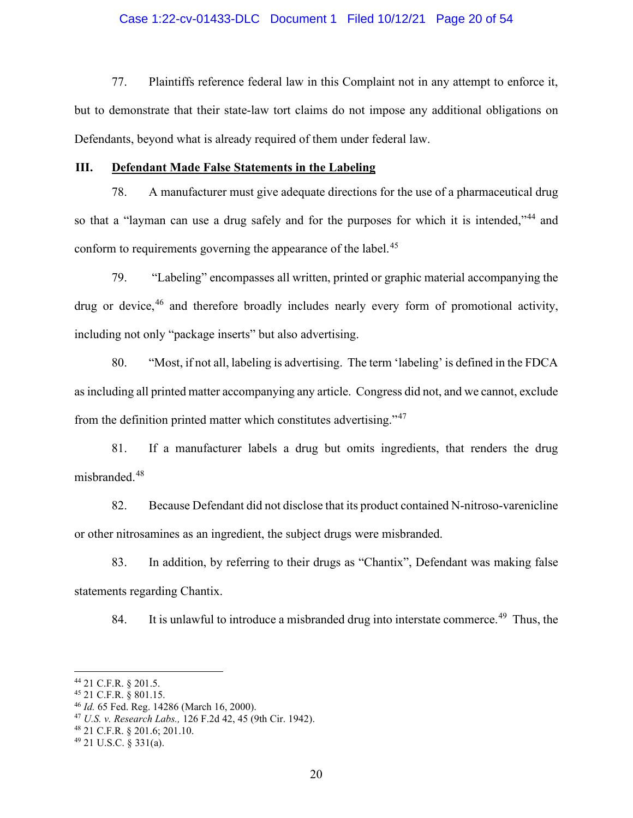### Case 1:22-cv-01433-DLC Document 1 Filed 10/12/21 Page 20 of 54

77. Plaintiffs reference federal law in this Complaint not in any attempt to enforce it, but to demonstrate that their state-law tort claims do not impose any additional obligations on Defendants, beyond what is already required of them under federal law.

#### **III. Defendant Made False Statements in the Labeling**

78. A manufacturer must give adequate directions for the use of a pharmaceutical drug so that a "layman can use a drug safely and for the purposes for which it is intended,"<sup>[44](#page-19-0)</sup> and conform to requirements governing the appearance of the label.<sup>[45](#page-19-1)</sup>

79. "Labeling" encompasses all written, printed or graphic material accompanying the drug or device,<sup>[46](#page-19-2)</sup> and therefore broadly includes nearly every form of promotional activity, including not only "package inserts" but also advertising.

80. "Most, if not all, labeling is advertising. The term 'labeling' is defined in the FDCA as including all printed matter accompanying any article. Congress did not, and we cannot, exclude from the definition printed matter which constitutes advertising."[47](#page-19-3)

81. If a manufacturer labels a drug but omits ingredients, that renders the drug misbranded.<sup>[48](#page-19-4)</sup>

82. Because Defendant did not disclose that its product contained N-nitroso-varenicline or other nitrosamines as an ingredient, the subject drugs were misbranded.

83. In addition, by referring to their drugs as "Chantix", Defendant was making false statements regarding Chantix.

84. It is unlawful to introduce a misbranded drug into interstate commerce.<sup>[49](#page-19-5)</sup> Thus, the

<span id="page-19-0"></span><sup>44</sup> 21 C.F.R. § 201.5.

<span id="page-19-1"></span><sup>45</sup> 21 C.F.R. § 801.15.

<span id="page-19-2"></span><sup>46</sup> *Id.* 65 Fed. Reg. 14286 (March 16, 2000).

<span id="page-19-3"></span><sup>47</sup> *U.S. v. Research Labs.,* 126 F.2d 42, 45 (9th Cir. 1942).

<span id="page-19-4"></span><sup>48</sup> 21 C.F.R. § 201.6; 201.10.

<span id="page-19-5"></span><sup>49</sup> 21 U.S.C. § 331(a).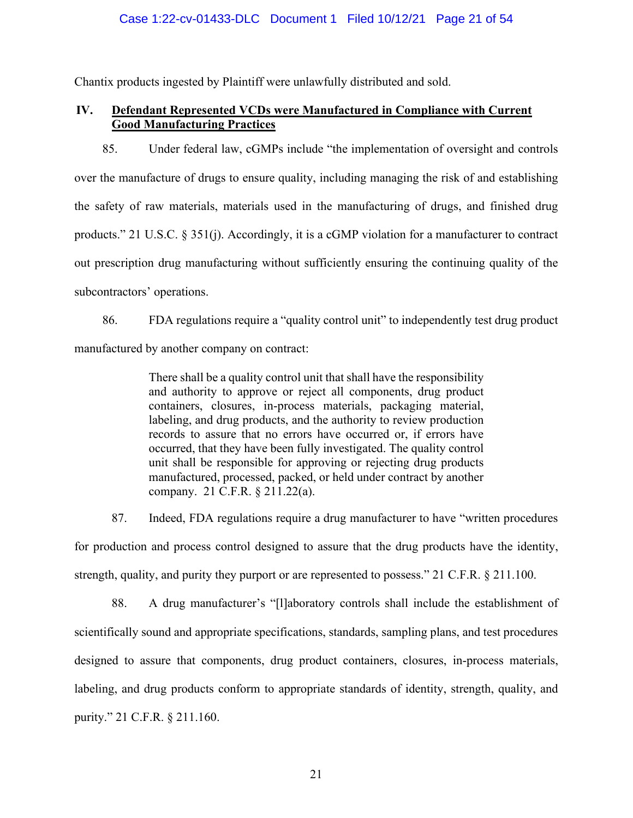## Case 1:22-cv-01433-DLC Document 1 Filed 10/12/21 Page 21 of 54

Chantix products ingested by Plaintiff were unlawfully distributed and sold.

# **IV. Defendant Represented VCDs were Manufactured in Compliance with Current Good Manufacturing Practices**

85. Under federal law, cGMPs include "the implementation of oversight and controls over the manufacture of drugs to ensure quality, including managing the risk of and establishing the safety of raw materials, materials used in the manufacturing of drugs, and finished drug products." 21 U.S.C. § 351(j). Accordingly, it is a cGMP violation for a manufacturer to contract out prescription drug manufacturing without sufficiently ensuring the continuing quality of the subcontractors' operations.

86. FDA regulations require a "quality control unit" to independently test drug product manufactured by another company on contract:

> There shall be a quality control unit that shall have the responsibility and authority to approve or reject all components, drug product containers, closures, in-process materials, packaging material, labeling, and drug products, and the authority to review production records to assure that no errors have occurred or, if errors have occurred, that they have been fully investigated. The quality control unit shall be responsible for approving or rejecting drug products manufactured, processed, packed, or held under contract by another company. 21 C.F.R. § 211.22(a).

87. Indeed, FDA regulations require a drug manufacturer to have "written procedures for production and process control designed to assure that the drug products have the identity, strength, quality, and purity they purport or are represented to possess." 21 C.F.R. § 211.100.

88. A drug manufacturer's "[l]aboratory controls shall include the establishment of scientifically sound and appropriate specifications, standards, sampling plans, and test procedures designed to assure that components, drug product containers, closures, in-process materials, labeling, and drug products conform to appropriate standards of identity, strength, quality, and purity." 21 C.F.R. § 211.160.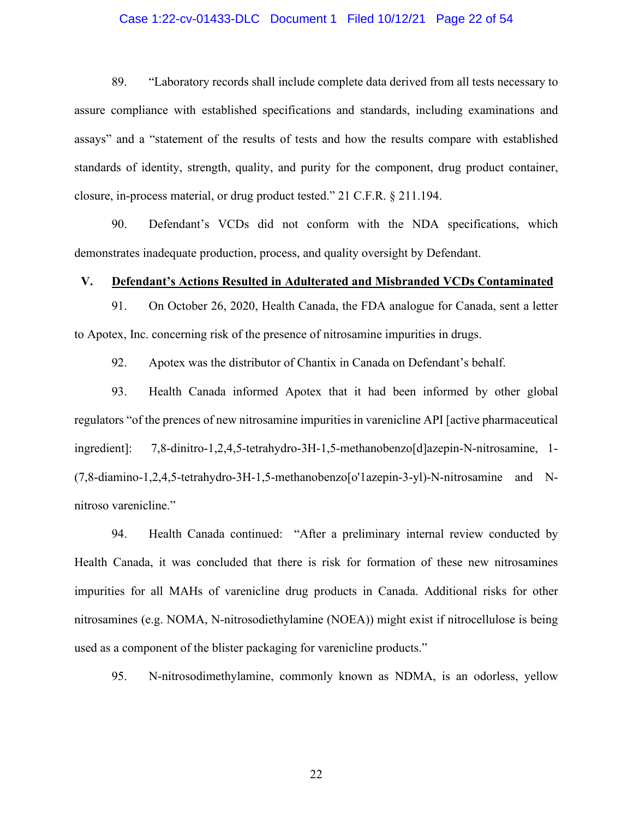### Case 1:22-cv-01433-DLC Document 1 Filed 10/12/21 Page 22 of 54

89. "Laboratory records shall include complete data derived from all tests necessary to assure compliance with established specifications and standards, including examinations and assays" and a "statement of the results of tests and how the results compare with established standards of identity, strength, quality, and purity for the component, drug product container, closure, in-process material, or drug product tested." 21 C.F.R. § 211.194.

90. Defendant's VCDs did not conform with the NDA specifications, which demonstrates inadequate production, process, and quality oversight by Defendant.

#### **V. Defendant's Actions Resulted in Adulterated and Misbranded VCDs Contaminated**

91. On October 26, 2020, Health Canada, the FDA analogue for Canada, sent a letter to Apotex, Inc. concerning risk of the presence of nitrosamine impurities in drugs.

92. Apotex was the distributor of Chantix in Canada on Defendant's behalf.

93. Health Canada informed Apotex that it had been informed by other global regulators "of the prences of new nitrosamine impurities in varenicline API [active pharmaceutical ingredient]: 7,8-dinitro-1,2,4,5-tetrahydro-3H-1,5-methanobenzo[d]azepin-N-nitrosamine, 1- (7,8-diamino-1,2,4,5-tetrahydro-3H-1,5-methanobenzo[o'1azepin-3-yl)-N-nitrosamine and Nnitroso varenicline."

94. Health Canada continued: "After a preliminary internal review conducted by Health Canada, it was concluded that there is risk for formation of these new nitrosamines impurities for all MAHs of varenicline drug products in Canada. Additional risks for other nitrosamines (e.g. NOMA, N-nitrosodiethylamine (NOEA)) might exist if nitrocellulose is being used as a component of the blister packaging for varenicline products."

95. N-nitrosodimethylamine, commonly known as NDMA, is an odorless, yellow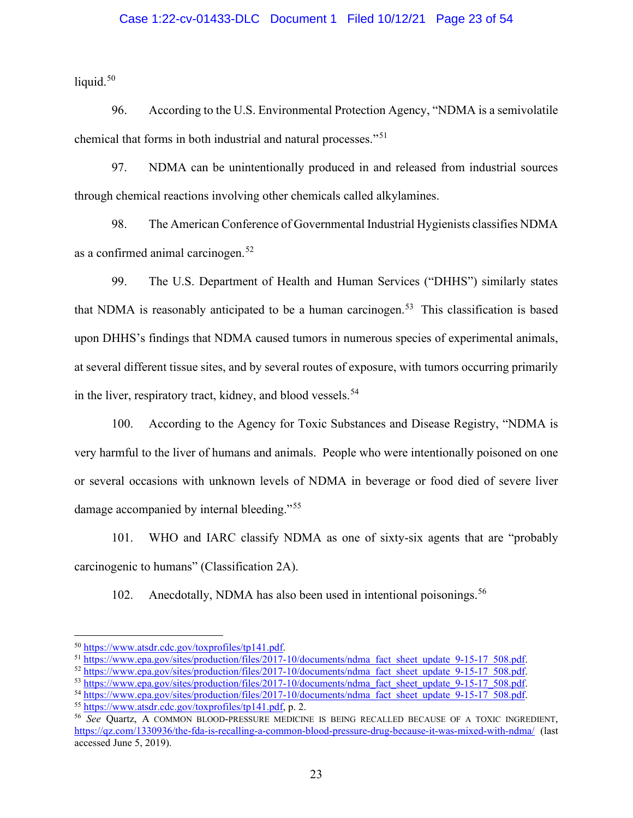### Case 1:22-cv-01433-DLC Document 1 Filed 10/12/21 Page 23 of 54

liquid. $50$ 

96. According to the U.S. Environmental Protection Agency, "NDMA is a semivolatile chemical that forms in both industrial and natural processes."[51](#page-22-1)

97. NDMA can be unintentionally produced in and released from industrial sources through chemical reactions involving other chemicals called alkylamines.

98. The American Conference of Governmental Industrial Hygienists classifies NDMA as a confirmed animal carcinogen.<sup>[52](#page-22-2)</sup>

99. The U.S. Department of Health and Human Services ("DHHS") similarly states that NDMA is reasonably anticipated to be a human carcinogen.<sup>[53](#page-22-3)</sup> This classification is based upon DHHS's findings that NDMA caused tumors in numerous species of experimental animals, at several different tissue sites, and by several routes of exposure, with tumors occurring primarily in the liver, respiratory tract, kidney, and blood vessels.<sup>[54](#page-22-4)</sup>

100. According to the Agency for Toxic Substances and Disease Registry, "NDMA is very harmful to the liver of humans and animals. People who were intentionally poisoned on one or several occasions with unknown levels of NDMA in beverage or food died of severe liver damage accompanied by internal bleeding."<sup>[55](#page-22-5)</sup>

101. WHO and IARC classify NDMA as one of sixty-six agents that are "probably carcinogenic to humans" (Classification 2A).

102. Anecdotally, NDMA has also been used in intentional poisonings.<sup>[56](#page-22-6)</sup>

<span id="page-22-0"></span><sup>50</sup> [https://www.atsdr.cdc.gov/toxprofiles/tp141.pdf.](https://www.atsdr.cdc.gov/toxprofiles/tp141.pdf)

<span id="page-22-1"></span><sup>&</sup>lt;sup>51</sup> [https://www.epa.gov/sites/production/files/2017-10/documents/ndma\\_fact\\_sheet\\_update\\_9-15-17\\_508.pdf.](https://www.epa.gov/sites/production/files/2017-10/documents/ndma_fact_sheet_update_9-15-17_508.pdf)

<sup>&</sup>lt;sup>52</sup> https://www.epa.gov/sites/production/files/2017-10/documents/ndma<sup>rfact\_sheet\_update<sup>-9</sup>-15-17<sup>-508.pdf.</sup></sup>

<span id="page-22-3"></span><span id="page-22-2"></span><sup>53</sup> [https://www.epa.gov/sites/production/files/2017-10/documents/ndma\\_fact\\_sheet\\_update\\_9-15-17\\_508.pdf.](https://www.epa.gov/sites/production/files/2017-10/documents/ndma_fact_sheet_update_9-15-17_508.pdf)

<span id="page-22-4"></span><sup>&</sup>lt;sup>54</sup> https://www.epa.gov/sites/production/files/2017-10/documents/ndma<sup>rfact\_sheet\_update<sup>9</sup>-15-17<sup>-508.pdf.</sup></sup>

<span id="page-22-5"></span><sup>55</sup> [https://www.atsdr.cdc.gov/toxprofiles/tp141.pdf,](https://www.atsdr.cdc.gov/toxprofiles/tp141.pdf) p. 2.

<span id="page-22-6"></span><sup>56</sup> *See* Quartz, A COMMON BLOOD-PRESSURE MEDICINE IS BEING RECALLED BECAUSE OF A TOXIC INGREDIENT, <https://qz.com/1330936/the-fda-is-recalling-a-common-blood-pressure-drug-because-it-was-mixed-with-ndma/>(last accessed June 5, 2019).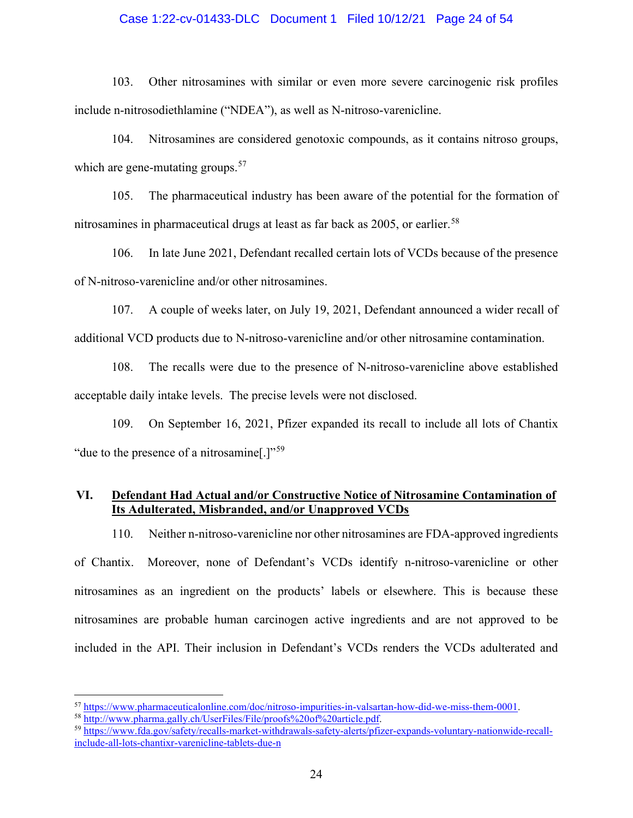### Case 1:22-cv-01433-DLC Document 1 Filed 10/12/21 Page 24 of 54

103. Other nitrosamines with similar or even more severe carcinogenic risk profiles include n-nitrosodiethlamine ("NDEA"), as well as N-nitroso-varenicline.

104. Nitrosamines are considered genotoxic compounds, as it contains nitroso groups, which are gene-mutating groups.<sup>[57](#page-23-0)</sup>

105. The pharmaceutical industry has been aware of the potential for the formation of nitrosamines in pharmaceutical drugs at least as far back as 2005, or earlier.<sup>[58](#page-23-1)</sup>

106. In late June 2021, Defendant recalled certain lots of VCDs because of the presence of N-nitroso-varenicline and/or other nitrosamines.

107. A couple of weeks later, on July 19, 2021, Defendant announced a wider recall of additional VCD products due to N-nitroso-varenicline and/or other nitrosamine contamination.

108. The recalls were due to the presence of N-nitroso-varenicline above established acceptable daily intake levels. The precise levels were not disclosed.

109. On September 16, 2021, Pfizer expanded its recall to include all lots of Chantix "due to the presence of a nitrosamine.]"<sup>[59](#page-23-2)</sup>

# **VI. Defendant Had Actual and/or Constructive Notice of Nitrosamine Contamination of Its Adulterated, Misbranded, and/or Unapproved VCDs**

110. Neither n-nitroso-varenicline nor other nitrosamines are FDA-approved ingredients

of Chantix. Moreover, none of Defendant's VCDs identify n-nitroso-varenicline or other nitrosamines as an ingredient on the products' labels or elsewhere. This is because these nitrosamines are probable human carcinogen active ingredients and are not approved to be included in the API. Their inclusion in Defendant's VCDs renders the VCDs adulterated and

<span id="page-23-0"></span><sup>57</sup> [https://www.pharmaceuticalonline.com/doc/nitroso-impurities-in-valsartan-how-did-we-miss-them-0001.](https://www.pharmaceuticalonline.com/doc/nitroso-impurities-in-valsartan-how-did-we-miss-them-0001)

<span id="page-23-1"></span><sup>58</sup> [http://www.pharma.gally.ch/UserFiles/File/proofs%20of%20article.pdf.](http://www.pharma.gally.ch/UserFiles/File/proofs%20of%20article.pdf)

<span id="page-23-2"></span><sup>59</sup> [https://www.fda.gov/safety/recalls-market-withdrawals-safety-alerts/pfizer-expands-voluntary-nationwide-recall](https://www.fda.gov/safety/recalls-market-withdrawals-safety-alerts/pfizer-expands-voluntary-nationwide-recall-include-all-lots-chantixr-varenicline-tablets-due-n)[include-all-lots-chantixr-varenicline-tablets-due-n](https://www.fda.gov/safety/recalls-market-withdrawals-safety-alerts/pfizer-expands-voluntary-nationwide-recall-include-all-lots-chantixr-varenicline-tablets-due-n)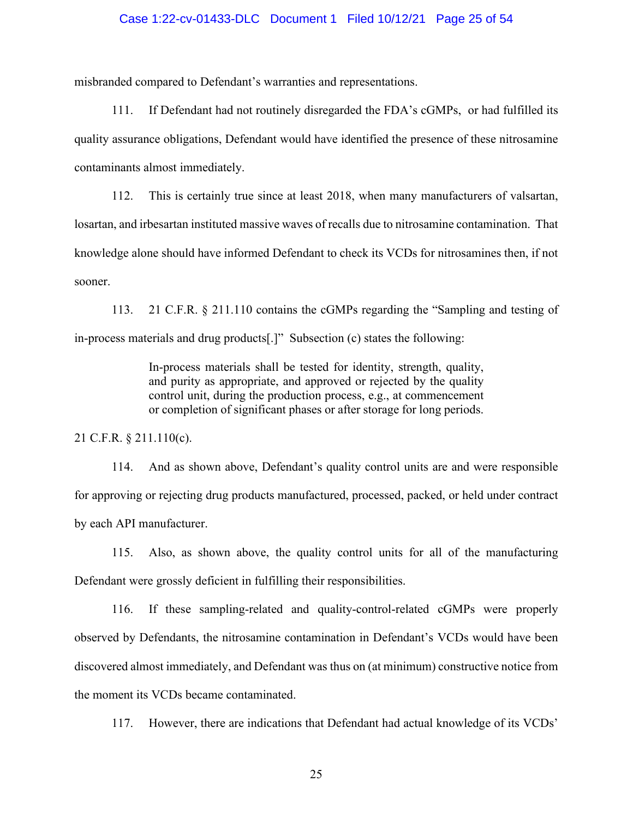### Case 1:22-cv-01433-DLC Document 1 Filed 10/12/21 Page 25 of 54

misbranded compared to Defendant's warranties and representations.

111. If Defendant had not routinely disregarded the FDA's cGMPs, or had fulfilled its quality assurance obligations, Defendant would have identified the presence of these nitrosamine contaminants almost immediately.

112. This is certainly true since at least 2018, when many manufacturers of valsartan, losartan, and irbesartan instituted massive waves of recalls due to nitrosamine contamination. That knowledge alone should have informed Defendant to check its VCDs for nitrosamines then, if not sooner.

113. 21 C.F.R. § 211.110 contains the cGMPs regarding the "Sampling and testing of in-process materials and drug products[.]" Subsection (c) states the following:

> In-process materials shall be tested for identity, strength, quality, and purity as appropriate, and approved or rejected by the quality control unit, during the production process, e.g., at commencement or completion of significant phases or after storage for long periods.

21 C.F.R. § 211.110(c).

114. And as shown above, Defendant's quality control units are and were responsible for approving or rejecting drug products manufactured, processed, packed, or held under contract by each API manufacturer.

115. Also, as shown above, the quality control units for all of the manufacturing Defendant were grossly deficient in fulfilling their responsibilities.

116. If these sampling-related and quality-control-related cGMPs were properly observed by Defendants, the nitrosamine contamination in Defendant's VCDs would have been discovered almost immediately, and Defendant was thus on (at minimum) constructive notice from the moment its VCDs became contaminated.

117. However, there are indications that Defendant had actual knowledge of its VCDs'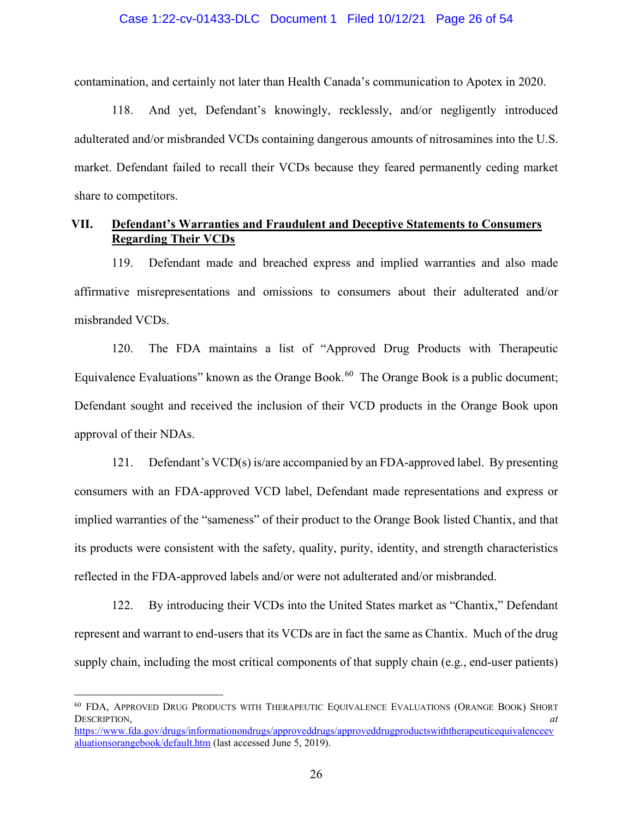### Case 1:22-cv-01433-DLC Document 1 Filed 10/12/21 Page 26 of 54

contamination, and certainly not later than Health Canada's communication to Apotex in 2020.

118. And yet, Defendant's knowingly, recklessly, and/or negligently introduced adulterated and/or misbranded VCDs containing dangerous amounts of nitrosamines into the U.S. market. Defendant failed to recall their VCDs because they feared permanently ceding market share to competitors.

## **VII. Defendant's Warranties and Fraudulent and Deceptive Statements to Consumers Regarding Their VCDs**

119. Defendant made and breached express and implied warranties and also made affirmative misrepresentations and omissions to consumers about their adulterated and/or misbranded VCDs.

120. The FDA maintains a list of "Approved Drug Products with Therapeutic Equivalence Evaluations" known as the Orange Book.<sup>[60](#page-25-0)</sup> The Orange Book is a public document; Defendant sought and received the inclusion of their VCD products in the Orange Book upon approval of their NDAs.

121. Defendant's VCD(s) is/are accompanied by an FDA-approved label. By presenting consumers with an FDA-approved VCD label, Defendant made representations and express or implied warranties of the "sameness" of their product to the Orange Book listed Chantix, and that its products were consistent with the safety, quality, purity, identity, and strength characteristics reflected in the FDA-approved labels and/or were not adulterated and/or misbranded.

122. By introducing their VCDs into the United States market as "Chantix," Defendant represent and warrant to end-users that its VCDs are in fact the same as Chantix. Much of the drug supply chain, including the most critical components of that supply chain (e.g., end-user patients)

<span id="page-25-0"></span><sup>60</sup> FDA, APPROVED DRUG PRODUCTS WITH THERAPEUTIC EQUIVALENCE EVALUATIONS (ORANGE BOOK) SHORT DESCRIPTION, *at*

[https://www.fda.gov/drugs/informationondrugs/approveddrugs/approveddrugproductswiththerapeuticequivalenceev](https://www.fda.gov/drugs/informationondrugs/approveddrugs/approveddrugproductswiththerapeuticequivalenceevaluationsorangebook/default.htm) [aluationsorangebook/default.htm](https://www.fda.gov/drugs/informationondrugs/approveddrugs/approveddrugproductswiththerapeuticequivalenceevaluationsorangebook/default.htm) (last accessed June 5, 2019).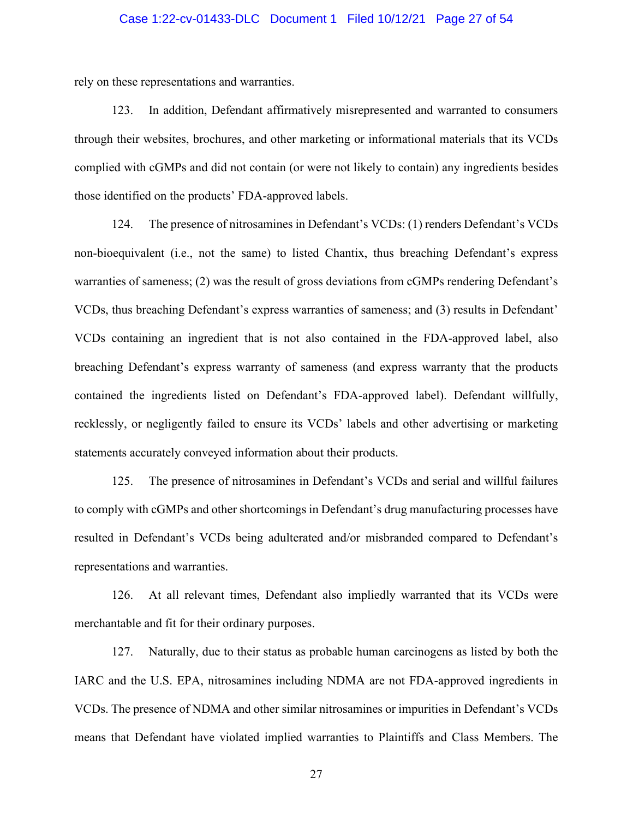### Case 1:22-cv-01433-DLC Document 1 Filed 10/12/21 Page 27 of 54

rely on these representations and warranties.

123. In addition, Defendant affirmatively misrepresented and warranted to consumers through their websites, brochures, and other marketing or informational materials that its VCDs complied with cGMPs and did not contain (or were not likely to contain) any ingredients besides those identified on the products' FDA-approved labels.

124. The presence of nitrosamines in Defendant's VCDs: (1) renders Defendant's VCDs non-bioequivalent (i.e., not the same) to listed Chantix, thus breaching Defendant's express warranties of sameness; (2) was the result of gross deviations from cGMPs rendering Defendant's VCDs, thus breaching Defendant's express warranties of sameness; and (3) results in Defendant' VCDs containing an ingredient that is not also contained in the FDA-approved label, also breaching Defendant's express warranty of sameness (and express warranty that the products contained the ingredients listed on Defendant's FDA-approved label). Defendant willfully, recklessly, or negligently failed to ensure its VCDs' labels and other advertising or marketing statements accurately conveyed information about their products.

125. The presence of nitrosamines in Defendant's VCDs and serial and willful failures to comply with cGMPs and other shortcomings in Defendant's drug manufacturing processes have resulted in Defendant's VCDs being adulterated and/or misbranded compared to Defendant's representations and warranties.

126. At all relevant times, Defendant also impliedly warranted that its VCDs were merchantable and fit for their ordinary purposes.

127. Naturally, due to their status as probable human carcinogens as listed by both the IARC and the U.S. EPA, nitrosamines including NDMA are not FDA-approved ingredients in VCDs. The presence of NDMA and other similar nitrosamines or impurities in Defendant's VCDs means that Defendant have violated implied warranties to Plaintiffs and Class Members. The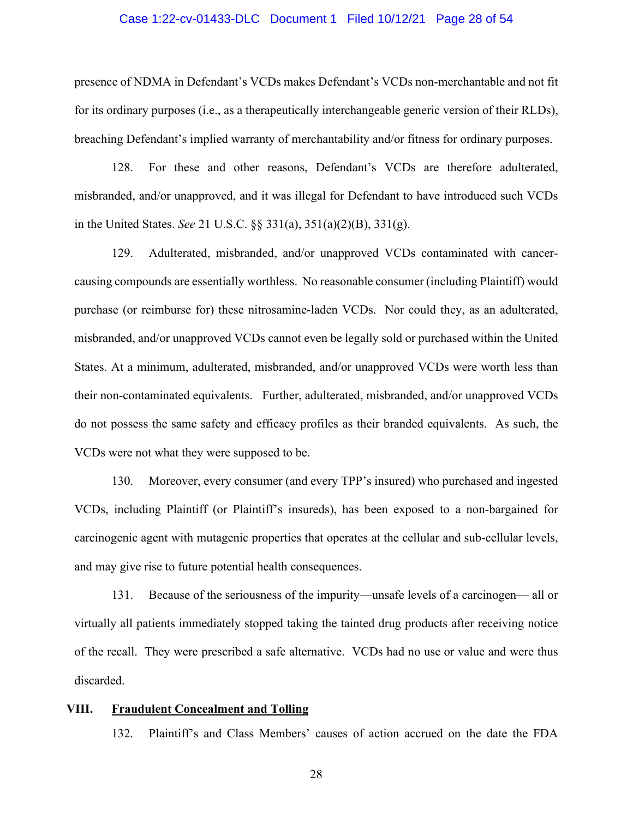### Case 1:22-cv-01433-DLC Document 1 Filed 10/12/21 Page 28 of 54

presence of NDMA in Defendant's VCDs makes Defendant's VCDs non-merchantable and not fit for its ordinary purposes (i.e., as a therapeutically interchangeable generic version of their RLDs), breaching Defendant's implied warranty of merchantability and/or fitness for ordinary purposes.

128. For these and other reasons, Defendant's VCDs are therefore adulterated, misbranded, and/or unapproved, and it was illegal for Defendant to have introduced such VCDs in the United States. *See* 21 U.S.C. §§ 331(a), 351(a)(2)(B), 331(g).

129. Adulterated, misbranded, and/or unapproved VCDs contaminated with cancercausing compounds are essentially worthless. No reasonable consumer (including Plaintiff) would purchase (or reimburse for) these nitrosamine-laden VCDs. Nor could they, as an adulterated, misbranded, and/or unapproved VCDs cannot even be legally sold or purchased within the United States. At a minimum, adulterated, misbranded, and/or unapproved VCDs were worth less than their non-contaminated equivalents. Further, adulterated, misbranded, and/or unapproved VCDs do not possess the same safety and efficacy profiles as their branded equivalents. As such, the VCDs were not what they were supposed to be.

130. Moreover, every consumer (and every TPP's insured) who purchased and ingested VCDs, including Plaintiff (or Plaintiff's insureds), has been exposed to a non-bargained for carcinogenic agent with mutagenic properties that operates at the cellular and sub-cellular levels, and may give rise to future potential health consequences.

131. Because of the seriousness of the impurity—unsafe levels of a carcinogen— all or virtually all patients immediately stopped taking the tainted drug products after receiving notice of the recall. They were prescribed a safe alternative. VCDs had no use or value and were thus discarded.

#### **VIII. Fraudulent Concealment and Tolling**

132. Plaintiff's and Class Members' causes of action accrued on the date the FDA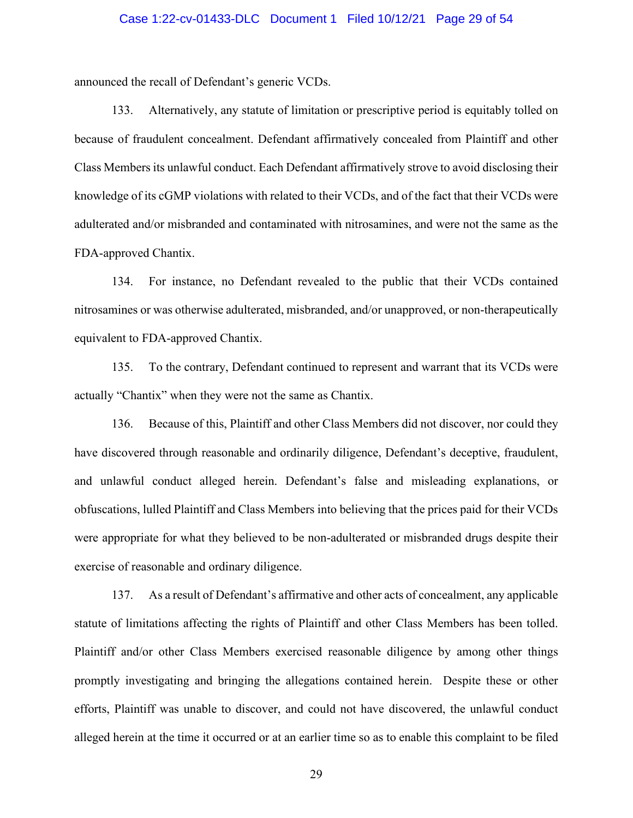### Case 1:22-cv-01433-DLC Document 1 Filed 10/12/21 Page 29 of 54

announced the recall of Defendant's generic VCDs.

133. Alternatively, any statute of limitation or prescriptive period is equitably tolled on because of fraudulent concealment. Defendant affirmatively concealed from Plaintiff and other Class Members its unlawful conduct. Each Defendant affirmatively strove to avoid disclosing their knowledge of its cGMP violations with related to their VCDs, and of the fact that their VCDs were adulterated and/or misbranded and contaminated with nitrosamines, and were not the same as the FDA-approved Chantix.

134. For instance, no Defendant revealed to the public that their VCDs contained nitrosamines or was otherwise adulterated, misbranded, and/or unapproved, or non-therapeutically equivalent to FDA-approved Chantix.

135. To the contrary, Defendant continued to represent and warrant that its VCDs were actually "Chantix" when they were not the same as Chantix.

136. Because of this, Plaintiff and other Class Members did not discover, nor could they have discovered through reasonable and ordinarily diligence, Defendant's deceptive, fraudulent, and unlawful conduct alleged herein. Defendant's false and misleading explanations, or obfuscations, lulled Plaintiff and Class Members into believing that the prices paid for their VCDs were appropriate for what they believed to be non-adulterated or misbranded drugs despite their exercise of reasonable and ordinary diligence.

137. As a result of Defendant's affirmative and other acts of concealment, any applicable statute of limitations affecting the rights of Plaintiff and other Class Members has been tolled. Plaintiff and/or other Class Members exercised reasonable diligence by among other things promptly investigating and bringing the allegations contained herein. Despite these or other efforts, Plaintiff was unable to discover, and could not have discovered, the unlawful conduct alleged herein at the time it occurred or at an earlier time so as to enable this complaint to be filed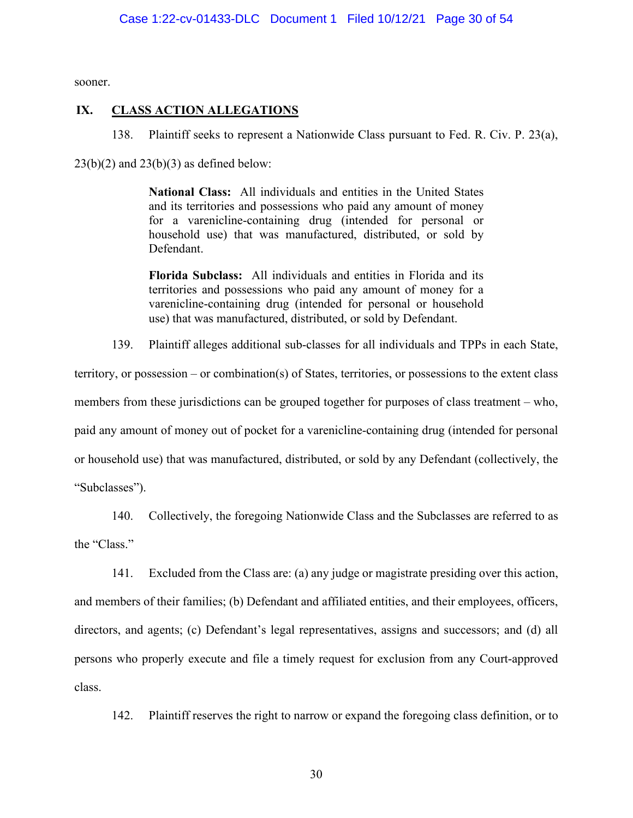sooner.

## **IX. CLASS ACTION ALLEGATIONS**

138. Plaintiff seeks to represent a Nationwide Class pursuant to Fed. R. Civ. P. 23(a),

 $23(b)(2)$  and  $23(b)(3)$  as defined below:

**National Class:** All individuals and entities in the United States and its territories and possessions who paid any amount of money for a varenicline-containing drug (intended for personal or household use) that was manufactured, distributed, or sold by Defendant.

**Florida Subclass:** All individuals and entities in Florida and its territories and possessions who paid any amount of money for a varenicline-containing drug (intended for personal or household use) that was manufactured, distributed, or sold by Defendant.

139. Plaintiff alleges additional sub-classes for all individuals and TPPs in each State,

territory, or possession – or combination(s) of States, territories, or possessions to the extent class members from these jurisdictions can be grouped together for purposes of class treatment – who, paid any amount of money out of pocket for a varenicline-containing drug (intended for personal or household use) that was manufactured, distributed, or sold by any Defendant (collectively, the "Subclasses").

140. Collectively, the foregoing Nationwide Class and the Subclasses are referred to as the "Class."

141. Excluded from the Class are: (a) any judge or magistrate presiding over this action, and members of their families; (b) Defendant and affiliated entities, and their employees, officers, directors, and agents; (c) Defendant's legal representatives, assigns and successors; and (d) all persons who properly execute and file a timely request for exclusion from any Court-approved class.

142. Plaintiff reserves the right to narrow or expand the foregoing class definition, or to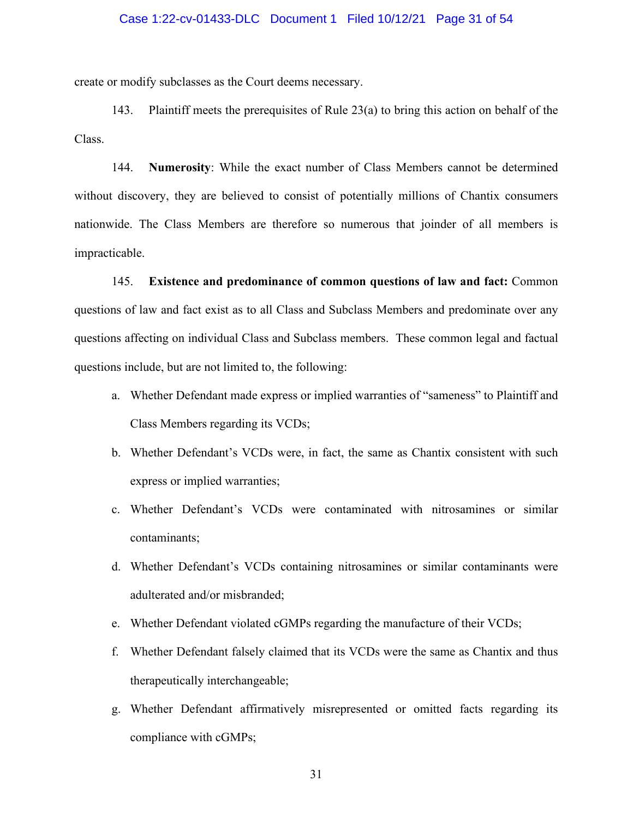# Case 1:22-cv-01433-DLC Document 1 Filed 10/12/21 Page 31 of 54

create or modify subclasses as the Court deems necessary.

143. Plaintiff meets the prerequisites of Rule 23(a) to bring this action on behalf of the Class.

144. **Numerosity**: While the exact number of Class Members cannot be determined without discovery, they are believed to consist of potentially millions of Chantix consumers nationwide. The Class Members are therefore so numerous that joinder of all members is impracticable.

145. **Existence and predominance of common questions of law and fact:** Common questions of law and fact exist as to all Class and Subclass Members and predominate over any questions affecting on individual Class and Subclass members. These common legal and factual questions include, but are not limited to, the following:

- a. Whether Defendant made express or implied warranties of "sameness" to Plaintiff and Class Members regarding its VCDs;
- b. Whether Defendant's VCDs were, in fact, the same as Chantix consistent with such express or implied warranties;
- c. Whether Defendant's VCDs were contaminated with nitrosamines or similar contaminants;
- d. Whether Defendant's VCDs containing nitrosamines or similar contaminants were adulterated and/or misbranded;
- e. Whether Defendant violated cGMPs regarding the manufacture of their VCDs;
- f. Whether Defendant falsely claimed that its VCDs were the same as Chantix and thus therapeutically interchangeable;
- g. Whether Defendant affirmatively misrepresented or omitted facts regarding its compliance with cGMPs;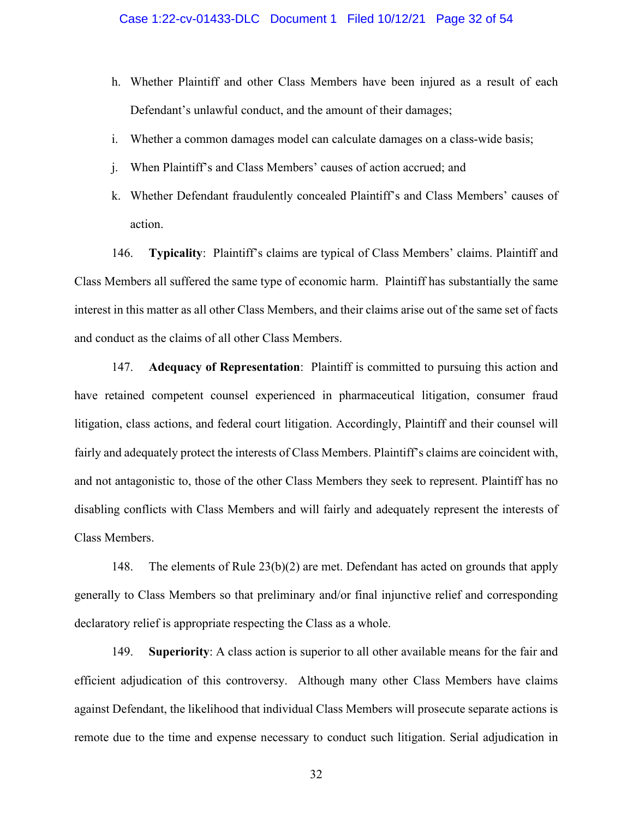- h. Whether Plaintiff and other Class Members have been injured as a result of each Defendant's unlawful conduct, and the amount of their damages;
- i. Whether a common damages model can calculate damages on a class-wide basis;
- j. When Plaintiff's and Class Members' causes of action accrued; and
- k. Whether Defendant fraudulently concealed Plaintiff's and Class Members' causes of action.

146. **Typicality**: Plaintiff's claims are typical of Class Members' claims. Plaintiff and Class Members all suffered the same type of economic harm. Plaintiff has substantially the same interest in this matter as all other Class Members, and their claims arise out of the same set of facts and conduct as the claims of all other Class Members.

147. **Adequacy of Representation**: Plaintiff is committed to pursuing this action and have retained competent counsel experienced in pharmaceutical litigation, consumer fraud litigation, class actions, and federal court litigation. Accordingly, Plaintiff and their counsel will fairly and adequately protect the interests of Class Members. Plaintiff's claims are coincident with, and not antagonistic to, those of the other Class Members they seek to represent. Plaintiff has no disabling conflicts with Class Members and will fairly and adequately represent the interests of Class Members.

148. The elements of Rule 23(b)(2) are met. Defendant has acted on grounds that apply generally to Class Members so that preliminary and/or final injunctive relief and corresponding declaratory relief is appropriate respecting the Class as a whole.

149. **Superiority**: A class action is superior to all other available means for the fair and efficient adjudication of this controversy. Although many other Class Members have claims against Defendant, the likelihood that individual Class Members will prosecute separate actions is remote due to the time and expense necessary to conduct such litigation. Serial adjudication in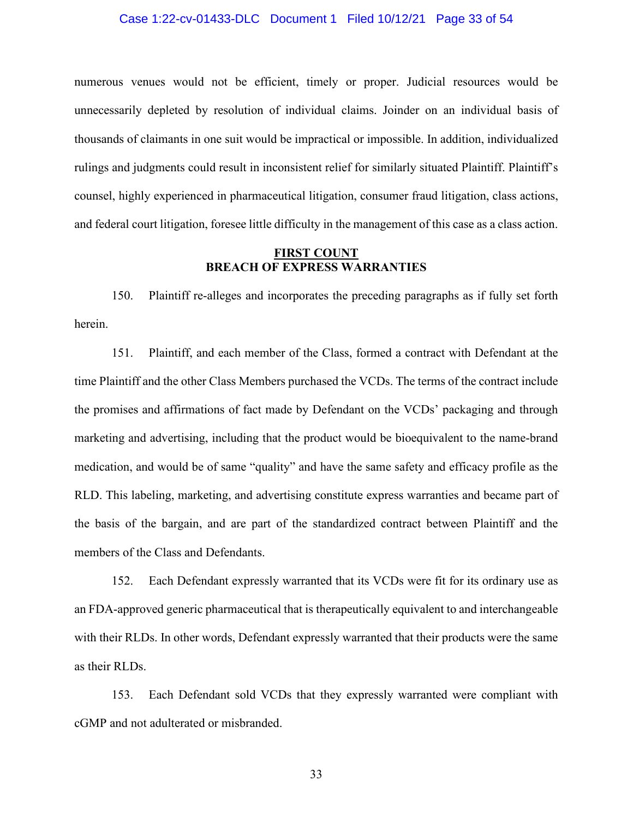### Case 1:22-cv-01433-DLC Document 1 Filed 10/12/21 Page 33 of 54

numerous venues would not be efficient, timely or proper. Judicial resources would be unnecessarily depleted by resolution of individual claims. Joinder on an individual basis of thousands of claimants in one suit would be impractical or impossible. In addition, individualized rulings and judgments could result in inconsistent relief for similarly situated Plaintiff. Plaintiff's counsel, highly experienced in pharmaceutical litigation, consumer fraud litigation, class actions, and federal court litigation, foresee little difficulty in the management of this case as a class action.

### **FIRST COUNT BREACH OF EXPRESS WARRANTIES**

150. Plaintiff re-alleges and incorporates the preceding paragraphs as if fully set forth herein.

151. Plaintiff, and each member of the Class, formed a contract with Defendant at the time Plaintiff and the other Class Members purchased the VCDs. The terms of the contract include the promises and affirmations of fact made by Defendant on the VCDs' packaging and through marketing and advertising, including that the product would be bioequivalent to the name-brand medication, and would be of same "quality" and have the same safety and efficacy profile as the RLD. This labeling, marketing, and advertising constitute express warranties and became part of the basis of the bargain, and are part of the standardized contract between Plaintiff and the members of the Class and Defendants.

152. Each Defendant expressly warranted that its VCDs were fit for its ordinary use as an FDA-approved generic pharmaceutical that is therapeutically equivalent to and interchangeable with their RLDs. In other words, Defendant expressly warranted that their products were the same as their RLDs.

153. Each Defendant sold VCDs that they expressly warranted were compliant with cGMP and not adulterated or misbranded.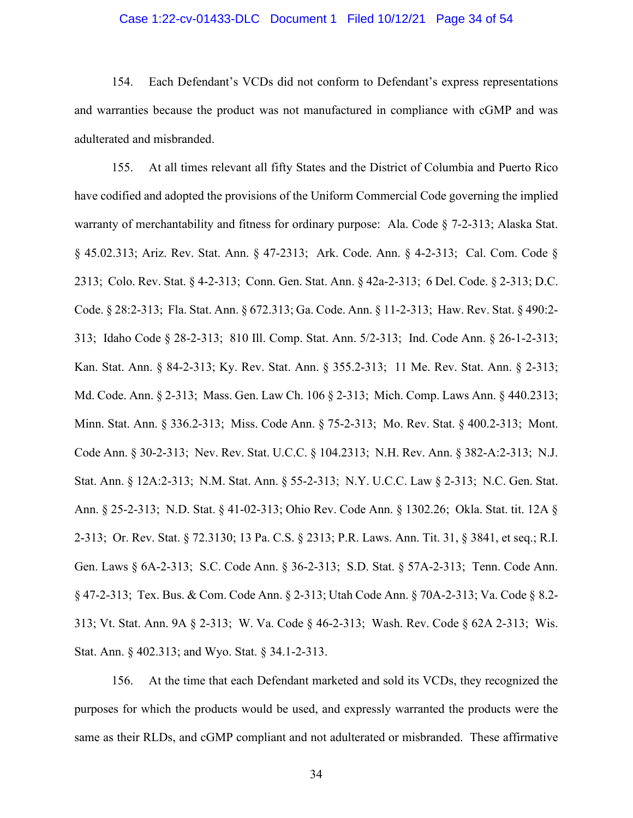### Case 1:22-cv-01433-DLC Document 1 Filed 10/12/21 Page 34 of 54

154. Each Defendant's VCDs did not conform to Defendant's express representations and warranties because the product was not manufactured in compliance with cGMP and was adulterated and misbranded.

155. At all times relevant all fifty States and the District of Columbia and Puerto Rico have codified and adopted the provisions of the Uniform Commercial Code governing the implied warranty of merchantability and fitness for ordinary purpose: Ala. Code § 7-2-313; Alaska Stat. § 45.02.313; Ariz. Rev. Stat. Ann. § 47-2313; Ark. Code. Ann. § 4-2-313; Cal. Com. Code § 2313; Colo. Rev. Stat. § 4-2-313; Conn. Gen. Stat. Ann. § 42a-2-313; 6 Del. Code. § 2-313; D.C. Code. § 28:2-313; Fla. Stat. Ann. § 672.313; Ga. Code. Ann. § 11-2-313; Haw. Rev. Stat. § 490:2- 313; Idaho Code § 28-2-313; 810 Ill. Comp. Stat. Ann. 5/2-313; Ind. Code Ann. § 26-1-2-313; Kan. Stat. Ann. § 84-2-313; Ky. Rev. Stat. Ann. § 355.2-313; 11 Me. Rev. Stat. Ann. § 2-313; Md. Code. Ann. § 2-313; Mass. Gen. Law Ch. 106 § 2-313; Mich. Comp. Laws Ann. § 440.2313; Minn. Stat. Ann. § 336.2-313; Miss. Code Ann. § 75-2-313; Mo. Rev. Stat. § 400.2-313; Mont. Code Ann. § 30-2-313; Nev. Rev. Stat. U.C.C. § 104.2313; N.H. Rev. Ann. § 382-A:2-313; N.J. Stat. Ann. § 12A:2-313; N.M. Stat. Ann. § 55-2-313; N.Y. U.C.C. Law § 2-313; N.C. Gen. Stat. Ann. § 25-2-313; N.D. Stat. § 41-02-313; Ohio Rev. Code Ann. § 1302.26; Okla. Stat. tit. 12A § 2-313; Or. Rev. Stat. § 72.3130; 13 Pa. C.S. § 2313; P.R. Laws. Ann. Tit. 31, § 3841, et seq.; R.I. Gen. Laws § 6A-2-313; S.C. Code Ann. § 36-2-313; S.D. Stat. § 57A-2-313; Tenn. Code Ann. § 47-2-313; Tex. Bus. & Com. Code Ann. § 2-313; Utah Code Ann. § 70A-2-313; Va. Code § 8.2- 313; Vt. Stat. Ann. 9A § 2-313; W. Va. Code § 46-2-313; Wash. Rev. Code § 62A 2-313; Wis. Stat. Ann. § 402.313; and Wyo. Stat. § 34.1-2-313.

156. At the time that each Defendant marketed and sold its VCDs, they recognized the purposes for which the products would be used, and expressly warranted the products were the same as their RLDs, and cGMP compliant and not adulterated or misbranded. These affirmative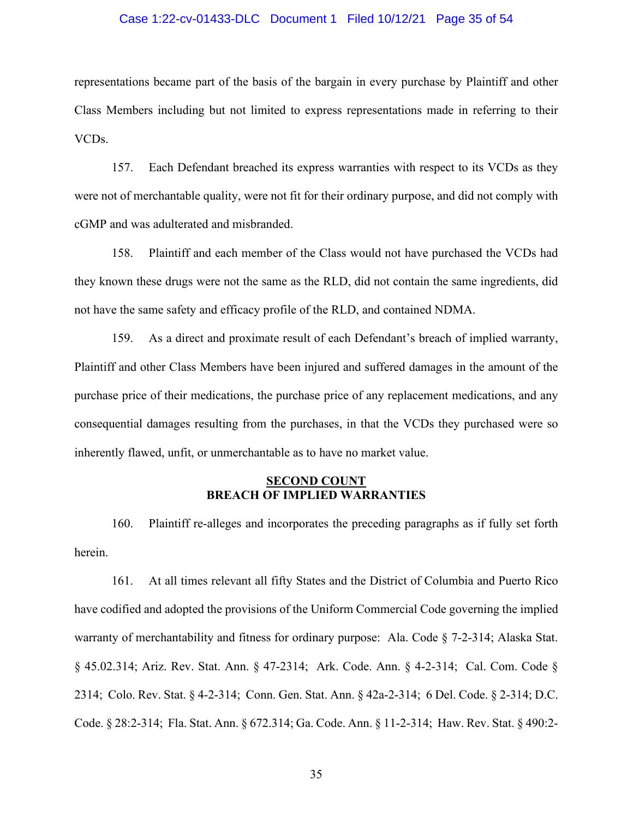### Case 1:22-cv-01433-DLC Document 1 Filed 10/12/21 Page 35 of 54

representations became part of the basis of the bargain in every purchase by Plaintiff and other Class Members including but not limited to express representations made in referring to their VCDs.

157. Each Defendant breached its express warranties with respect to its VCDs as they were not of merchantable quality, were not fit for their ordinary purpose, and did not comply with cGMP and was adulterated and misbranded.

158. Plaintiff and each member of the Class would not have purchased the VCDs had they known these drugs were not the same as the RLD, did not contain the same ingredients, did not have the same safety and efficacy profile of the RLD, and contained NDMA.

159. As a direct and proximate result of each Defendant's breach of implied warranty, Plaintiff and other Class Members have been injured and suffered damages in the amount of the purchase price of their medications, the purchase price of any replacement medications, and any consequential damages resulting from the purchases, in that the VCDs they purchased were so inherently flawed, unfit, or unmerchantable as to have no market value.

### **SECOND COUNT BREACH OF IMPLIED WARRANTIES**

160. Plaintiff re-alleges and incorporates the preceding paragraphs as if fully set forth herein.

161. At all times relevant all fifty States and the District of Columbia and Puerto Rico have codified and adopted the provisions of the Uniform Commercial Code governing the implied warranty of merchantability and fitness for ordinary purpose: Ala. Code § 7-2-314; Alaska Stat. § 45.02.314; Ariz. Rev. Stat. Ann. § 47-2314; Ark. Code. Ann. § 4-2-314; Cal. Com. Code § 2314; Colo. Rev. Stat. § 4-2-314; Conn. Gen. Stat. Ann. § 42a-2-314; 6 Del. Code. § 2-314; D.C. Code. § 28:2-314; Fla. Stat. Ann. § 672.314; Ga. Code. Ann. § 11-2-314; Haw. Rev. Stat. § 490:2-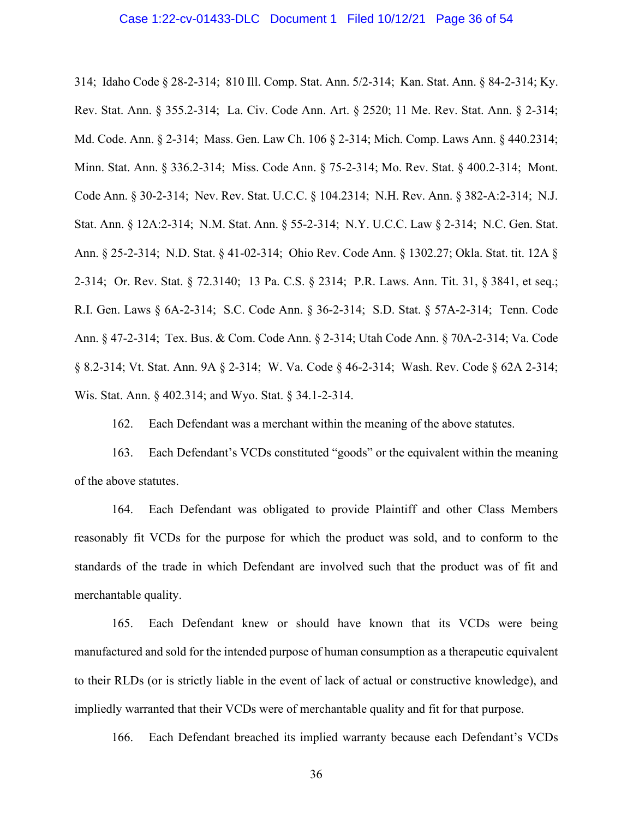### Case 1:22-cv-01433-DLC Document 1 Filed 10/12/21 Page 36 of 54

314; Idaho Code § 28-2-314; 810 Ill. Comp. Stat. Ann. 5/2-314; Kan. Stat. Ann. § 84-2-314; Ky. Rev. Stat. Ann. § 355.2-314; La. Civ. Code Ann. Art. § 2520; 11 Me. Rev. Stat. Ann. § 2-314; Md. Code. Ann. § 2-314; Mass. Gen. Law Ch. 106 § 2-314; Mich. Comp. Laws Ann. § 440.2314; Minn. Stat. Ann. § 336.2-314; Miss. Code Ann. § 75-2-314; Mo. Rev. Stat. § 400.2-314; Mont. Code Ann. § 30-2-314; Nev. Rev. Stat. U.C.C. § 104.2314; N.H. Rev. Ann. § 382-A:2-314; N.J. Stat. Ann. § 12A:2-314; N.M. Stat. Ann. § 55-2-314; N.Y. U.C.C. Law § 2-314; N.C. Gen. Stat. Ann. § 25-2-314; N.D. Stat. § 41-02-314; Ohio Rev. Code Ann. § 1302.27; Okla. Stat. tit. 12A § 2-314; Or. Rev. Stat. § 72.3140; 13 Pa. C.S. § 2314; P.R. Laws. Ann. Tit. 31, § 3841, et seq.; R.I. Gen. Laws § 6A-2-314; S.C. Code Ann. § 36-2-314; S.D. Stat. § 57A-2-314; Tenn. Code Ann. § 47-2-314; Tex. Bus. & Com. Code Ann. § 2-314; Utah Code Ann. § 70A-2-314; Va. Code § 8.2-314; Vt. Stat. Ann. 9A § 2-314; W. Va. Code § 46-2-314; Wash. Rev. Code § 62A 2-314; Wis. Stat. Ann. § 402.314; and Wyo. Stat. § 34.1-2-314.

162. Each Defendant was a merchant within the meaning of the above statutes.

163. Each Defendant's VCDs constituted "goods" or the equivalent within the meaning of the above statutes.

164. Each Defendant was obligated to provide Plaintiff and other Class Members reasonably fit VCDs for the purpose for which the product was sold, and to conform to the standards of the trade in which Defendant are involved such that the product was of fit and merchantable quality.

165. Each Defendant knew or should have known that its VCDs were being manufactured and sold for the intended purpose of human consumption as a therapeutic equivalent to their RLDs (or is strictly liable in the event of lack of actual or constructive knowledge), and impliedly warranted that their VCDs were of merchantable quality and fit for that purpose.

166. Each Defendant breached its implied warranty because each Defendant's VCDs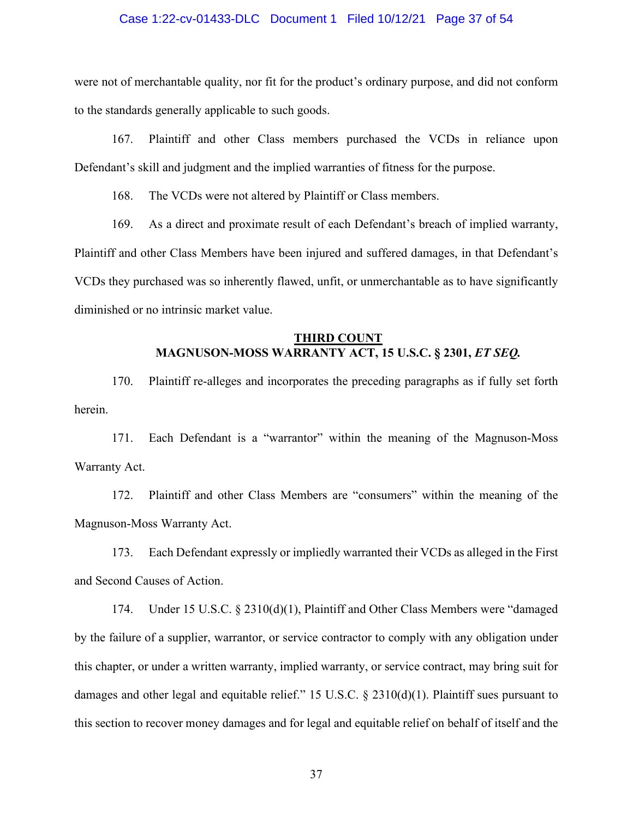### Case 1:22-cv-01433-DLC Document 1 Filed 10/12/21 Page 37 of 54

were not of merchantable quality, nor fit for the product's ordinary purpose, and did not conform to the standards generally applicable to such goods.

167. Plaintiff and other Class members purchased the VCDs in reliance upon Defendant's skill and judgment and the implied warranties of fitness for the purpose.

168. The VCDs were not altered by Plaintiff or Class members.

169. As a direct and proximate result of each Defendant's breach of implied warranty, Plaintiff and other Class Members have been injured and suffered damages, in that Defendant's VCDs they purchased was so inherently flawed, unfit, or unmerchantable as to have significantly diminished or no intrinsic market value.

### **THIRD COUNT MAGNUSON-MOSS WARRANTY ACT, 15 U.S.C. § 2301,** *ET SEQ.*

170. Plaintiff re-alleges and incorporates the preceding paragraphs as if fully set forth herein.

171. Each Defendant is a "warrantor" within the meaning of the Magnuson-Moss Warranty Act.

172. Plaintiff and other Class Members are "consumers" within the meaning of the Magnuson-Moss Warranty Act.

173. Each Defendant expressly or impliedly warranted their VCDs as alleged in the First and Second Causes of Action.

174. Under 15 U.S.C. § 2310(d)(1), Plaintiff and Other Class Members were "damaged by the failure of a supplier, warrantor, or service contractor to comply with any obligation under this chapter, or under a written warranty, implied warranty, or service contract, may bring suit for damages and other legal and equitable relief." 15 U.S.C. § 2310(d)(1). Plaintiff sues pursuant to this section to recover money damages and for legal and equitable relief on behalf of itself and the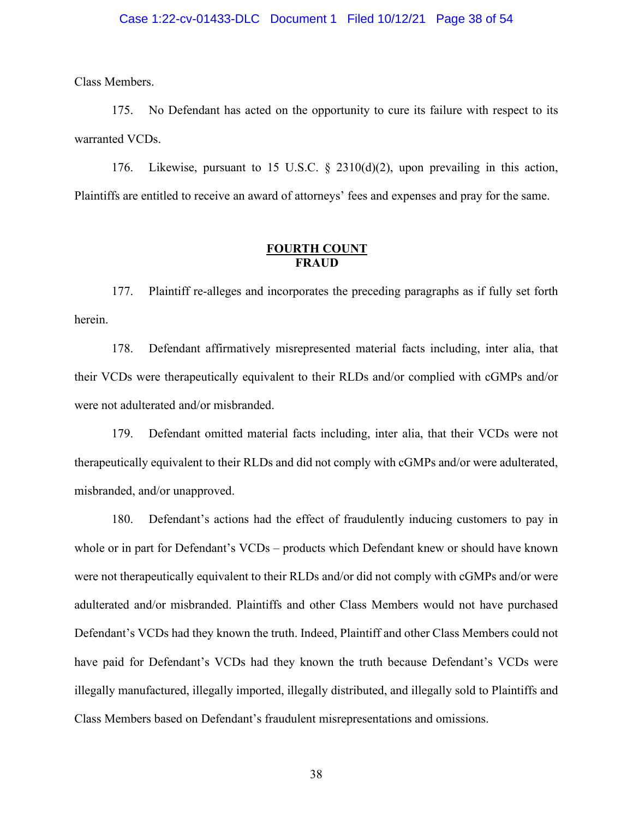### Case 1:22-cv-01433-DLC Document 1 Filed 10/12/21 Page 38 of 54

Class Members.

175. No Defendant has acted on the opportunity to cure its failure with respect to its warranted VCDs.

176. Likewise, pursuant to 15 U.S.C. § 2310(d)(2), upon prevailing in this action, Plaintiffs are entitled to receive an award of attorneys' fees and expenses and pray for the same.

### **FOURTH COUNT FRAUD**

177. Plaintiff re-alleges and incorporates the preceding paragraphs as if fully set forth herein.

178. Defendant affirmatively misrepresented material facts including, inter alia, that their VCDs were therapeutically equivalent to their RLDs and/or complied with cGMPs and/or were not adulterated and/or misbranded.

179. Defendant omitted material facts including, inter alia, that their VCDs were not therapeutically equivalent to their RLDs and did not comply with cGMPs and/or were adulterated, misbranded, and/or unapproved.

180. Defendant's actions had the effect of fraudulently inducing customers to pay in whole or in part for Defendant's VCDs – products which Defendant knew or should have known were not therapeutically equivalent to their RLDs and/or did not comply with cGMPs and/or were adulterated and/or misbranded. Plaintiffs and other Class Members would not have purchased Defendant's VCDs had they known the truth. Indeed, Plaintiff and other Class Members could not have paid for Defendant's VCDs had they known the truth because Defendant's VCDs were illegally manufactured, illegally imported, illegally distributed, and illegally sold to Plaintiffs and Class Members based on Defendant's fraudulent misrepresentations and omissions.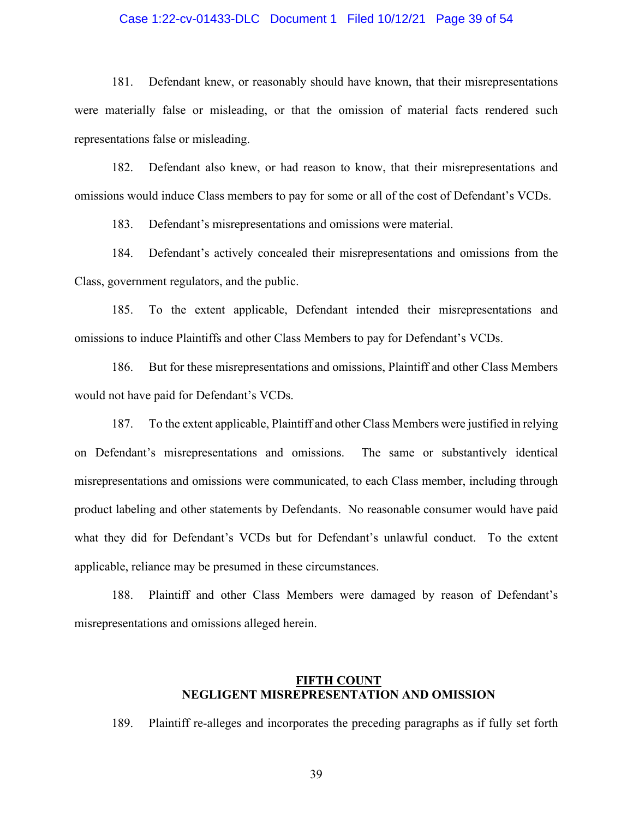### Case 1:22-cv-01433-DLC Document 1 Filed 10/12/21 Page 39 of 54

181. Defendant knew, or reasonably should have known, that their misrepresentations were materially false or misleading, or that the omission of material facts rendered such representations false or misleading.

182. Defendant also knew, or had reason to know, that their misrepresentations and omissions would induce Class members to pay for some or all of the cost of Defendant's VCDs.

183. Defendant's misrepresentations and omissions were material.

184. Defendant's actively concealed their misrepresentations and omissions from the Class, government regulators, and the public.

185. To the extent applicable, Defendant intended their misrepresentations and omissions to induce Plaintiffs and other Class Members to pay for Defendant's VCDs.

186. But for these misrepresentations and omissions, Plaintiff and other Class Members would not have paid for Defendant's VCDs.

187. To the extent applicable, Plaintiff and other Class Members were justified in relying on Defendant's misrepresentations and omissions. The same or substantively identical misrepresentations and omissions were communicated, to each Class member, including through product labeling and other statements by Defendants. No reasonable consumer would have paid what they did for Defendant's VCDs but for Defendant's unlawful conduct. To the extent applicable, reliance may be presumed in these circumstances.

188. Plaintiff and other Class Members were damaged by reason of Defendant's misrepresentations and omissions alleged herein.

### **FIFTH COUNT NEGLIGENT MISREPRESENTATION AND OMISSION**

189. Plaintiff re-alleges and incorporates the preceding paragraphs as if fully set forth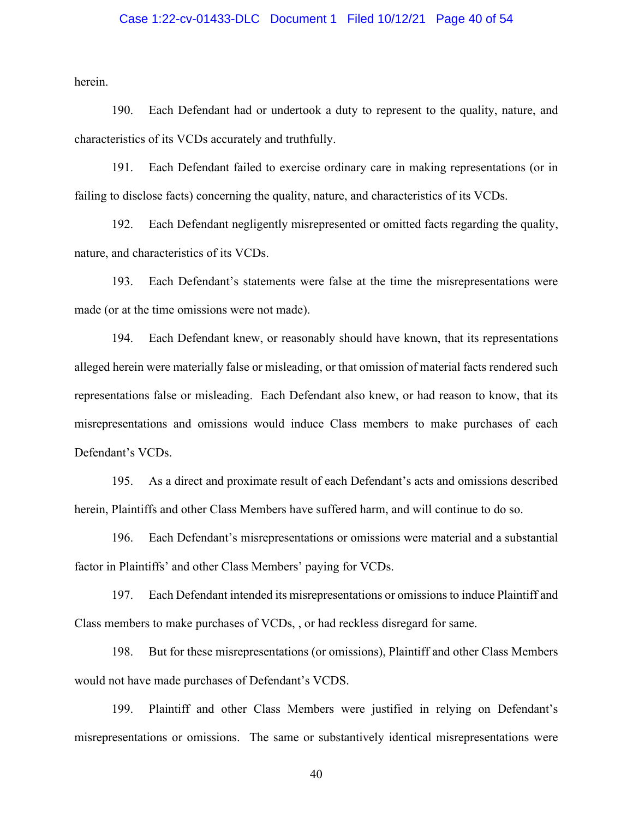### Case 1:22-cv-01433-DLC Document 1 Filed 10/12/21 Page 40 of 54

herein.

190. Each Defendant had or undertook a duty to represent to the quality, nature, and characteristics of its VCDs accurately and truthfully.

191. Each Defendant failed to exercise ordinary care in making representations (or in failing to disclose facts) concerning the quality, nature, and characteristics of its VCDs.

192. Each Defendant negligently misrepresented or omitted facts regarding the quality, nature, and characteristics of its VCDs.

193. Each Defendant's statements were false at the time the misrepresentations were made (or at the time omissions were not made).

194. Each Defendant knew, or reasonably should have known, that its representations alleged herein were materially false or misleading, or that omission of material facts rendered such representations false or misleading. Each Defendant also knew, or had reason to know, that its misrepresentations and omissions would induce Class members to make purchases of each Defendant's VCDs.

195. As a direct and proximate result of each Defendant's acts and omissions described herein, Plaintiffs and other Class Members have suffered harm, and will continue to do so.

196. Each Defendant's misrepresentations or omissions were material and a substantial factor in Plaintiffs' and other Class Members' paying for VCDs.

197. Each Defendant intended its misrepresentations or omissions to induce Plaintiff and Class members to make purchases of VCDs, , or had reckless disregard for same.

198. But for these misrepresentations (or omissions), Plaintiff and other Class Members would not have made purchases of Defendant's VCDS.

199. Plaintiff and other Class Members were justified in relying on Defendant's misrepresentations or omissions. The same or substantively identical misrepresentations were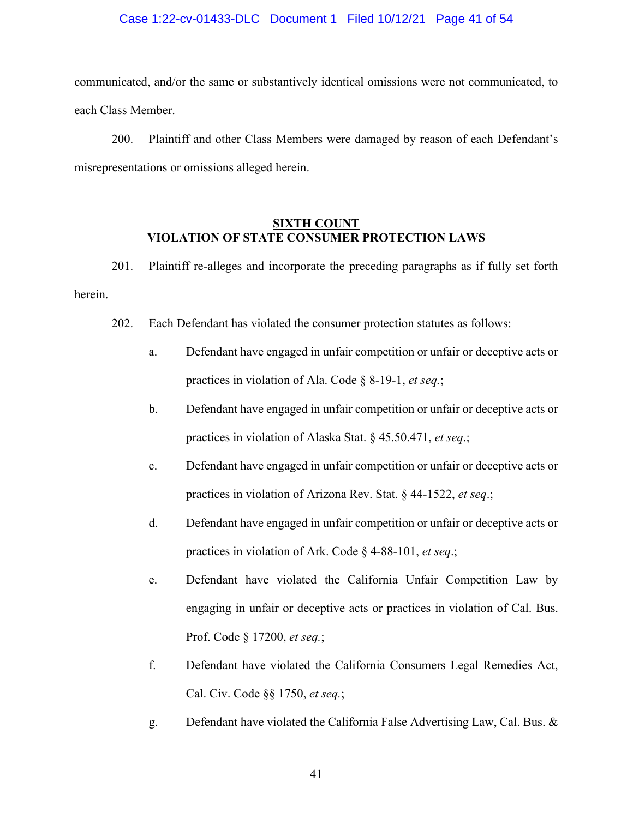### Case 1:22-cv-01433-DLC Document 1 Filed 10/12/21 Page 41 of 54

communicated, and/or the same or substantively identical omissions were not communicated, to each Class Member.

200. Plaintiff and other Class Members were damaged by reason of each Defendant's misrepresentations or omissions alleged herein.

## **SIXTH COUNT VIOLATION OF STATE CONSUMER PROTECTION LAWS**

201. Plaintiff re-alleges and incorporate the preceding paragraphs as if fully set forth herein.

- 202. Each Defendant has violated the consumer protection statutes as follows:
	- a. Defendant have engaged in unfair competition or unfair or deceptive acts or practices in violation of Ala. Code § 8-19-1, *et seq.*;
	- b. Defendant have engaged in unfair competition or unfair or deceptive acts or practices in violation of Alaska Stat. § 45.50.471, *et seq*.;
	- c. Defendant have engaged in unfair competition or unfair or deceptive acts or practices in violation of Arizona Rev. Stat. § 44-1522, *et seq*.;
	- d. Defendant have engaged in unfair competition or unfair or deceptive acts or practices in violation of Ark. Code § 4-88-101, *et seq*.;
	- e. Defendant have violated the California Unfair Competition Law by engaging in unfair or deceptive acts or practices in violation of Cal. Bus. Prof. Code § 17200, *et seq.*;
	- f. Defendant have violated the California Consumers Legal Remedies Act, Cal. Civ. Code §§ 1750, *et seq.*;
	- g. Defendant have violated the California False Advertising Law, Cal. Bus. &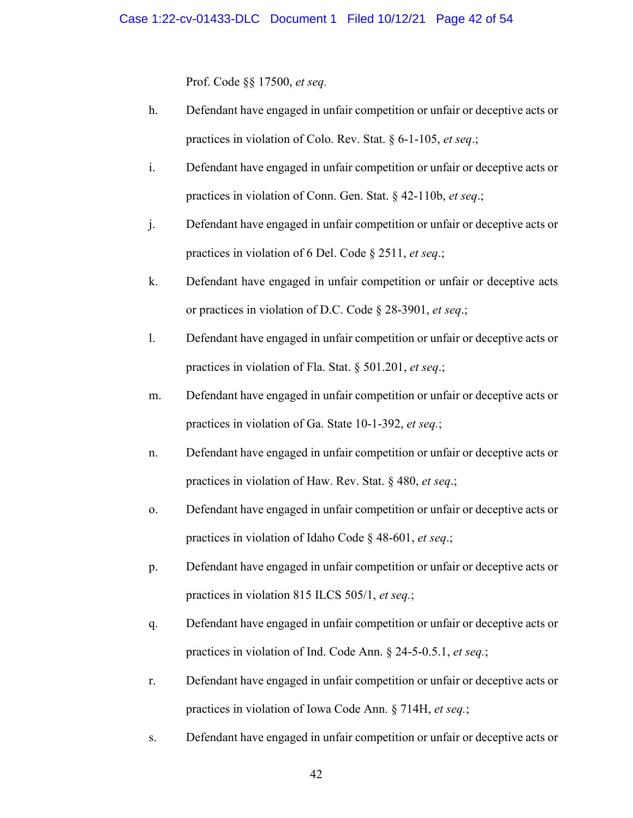Prof. Code §§ 17500, *et seq.*

- h. Defendant have engaged in unfair competition or unfair or deceptive acts or practices in violation of Colo. Rev. Stat. § 6-1-105, *et seq*.;
- i. Defendant have engaged in unfair competition or unfair or deceptive acts or practices in violation of Conn. Gen. Stat. § 42-110b, *et seq*.;
- j. Defendant have engaged in unfair competition or unfair or deceptive acts or practices in violation of 6 Del. Code § 2511, *et seq*.;
- k. Defendant have engaged in unfair competition or unfair or deceptive acts or practices in violation of D.C. Code § 28-3901, *et seq*.;
- l. Defendant have engaged in unfair competition or unfair or deceptive acts or practices in violation of Fla. Stat. § 501.201, *et seq*.;
- m. Defendant have engaged in unfair competition or unfair or deceptive acts or practices in violation of Ga. State 10-1-392, *et seq.*;
- n. Defendant have engaged in unfair competition or unfair or deceptive acts or practices in violation of Haw. Rev. Stat. § 480, *et seq*.;
- o. Defendant have engaged in unfair competition or unfair or deceptive acts or practices in violation of Idaho Code § 48-601, *et seq*.;
- p. Defendant have engaged in unfair competition or unfair or deceptive acts or practices in violation 815 ILCS 505/1, *et seq.*;
- q. Defendant have engaged in unfair competition or unfair or deceptive acts or practices in violation of Ind. Code Ann. § 24-5-0.5.1, *et seq.*;
- r. Defendant have engaged in unfair competition or unfair or deceptive acts or practices in violation of Iowa Code Ann. § 714H, *et seq.*;
- s. Defendant have engaged in unfair competition or unfair or deceptive acts or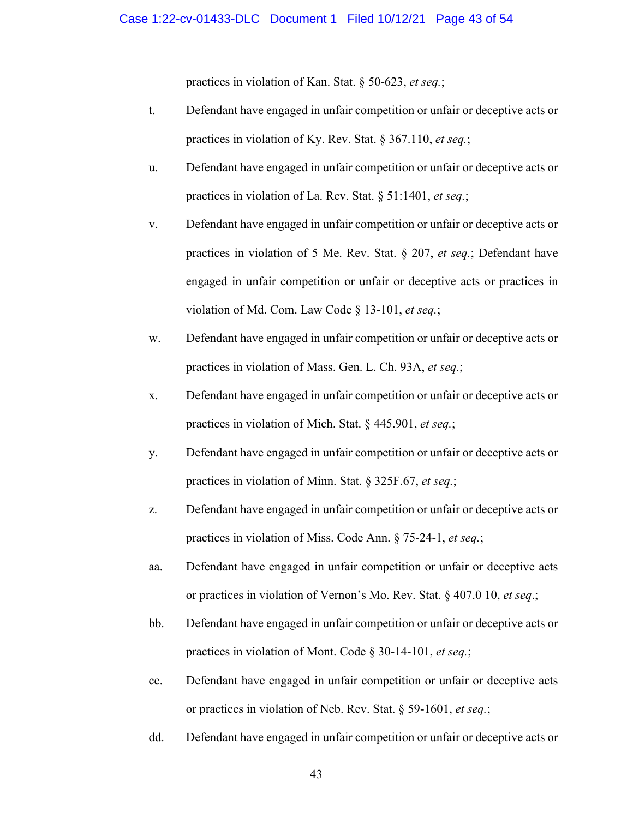practices in violation of Kan. Stat. § 50-623, *et seq.*;

- t. Defendant have engaged in unfair competition or unfair or deceptive acts or practices in violation of Ky. Rev. Stat. § 367.110, *et seq.*;
- u. Defendant have engaged in unfair competition or unfair or deceptive acts or practices in violation of La. Rev. Stat. § 51:1401, *et seq.*;
- v. Defendant have engaged in unfair competition or unfair or deceptive acts or practices in violation of 5 Me. Rev. Stat. § 207, *et seq.*; Defendant have engaged in unfair competition or unfair or deceptive acts or practices in violation of Md. Com. Law Code § 13-101, *et seq.*;
- w. Defendant have engaged in unfair competition or unfair or deceptive acts or practices in violation of Mass. Gen. L. Ch. 93A, *et seq.*;
- x. Defendant have engaged in unfair competition or unfair or deceptive acts or practices in violation of Mich. Stat. § 445.901, *et seq.*;
- y. Defendant have engaged in unfair competition or unfair or deceptive acts or practices in violation of Minn. Stat. § 325F.67, *et seq.*;
- z. Defendant have engaged in unfair competition or unfair or deceptive acts or practices in violation of Miss. Code Ann. § 75-24-1, *et seq.*;
- aa. Defendant have engaged in unfair competition or unfair or deceptive acts or practices in violation of Vernon's Mo. Rev. Stat. § 407.0 10, *et seq*.;
- bb. Defendant have engaged in unfair competition or unfair or deceptive acts or practices in violation of Mont. Code § 30-14-101, *et seq.*;
- cc. Defendant have engaged in unfair competition or unfair or deceptive acts or practices in violation of Neb. Rev. Stat. § 59-1601, *et seq.*;
- dd. Defendant have engaged in unfair competition or unfair or deceptive acts or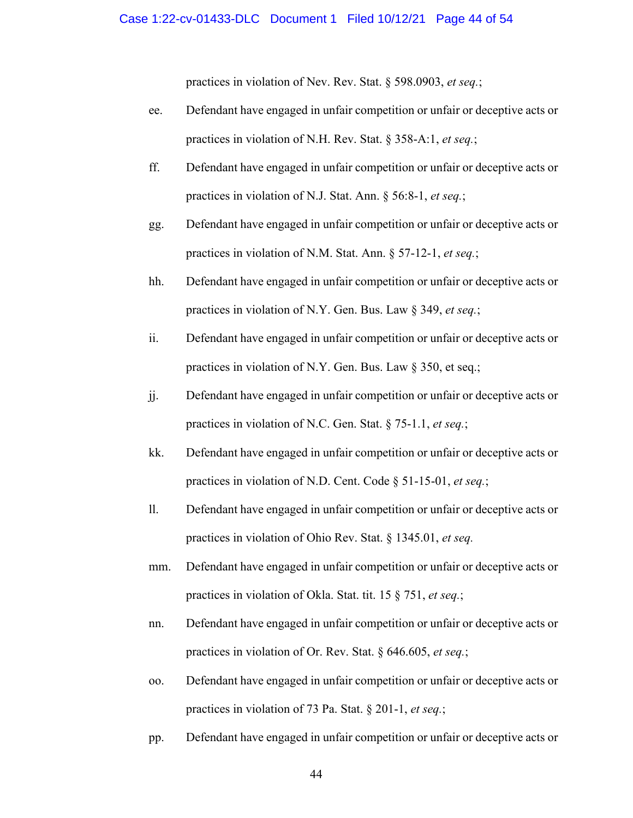practices in violation of Nev. Rev. Stat. § 598.0903, *et seq.*;

- ee. Defendant have engaged in unfair competition or unfair or deceptive acts or practices in violation of N.H. Rev. Stat. § 358-A:1, *et seq.*;
- ff. Defendant have engaged in unfair competition or unfair or deceptive acts or practices in violation of N.J. Stat. Ann. § 56:8-1, *et seq.*;
- gg. Defendant have engaged in unfair competition or unfair or deceptive acts or practices in violation of N.M. Stat. Ann. § 57-12-1, *et seq.*;
- hh. Defendant have engaged in unfair competition or unfair or deceptive acts or practices in violation of N.Y. Gen. Bus. Law § 349, *et seq.*;
- ii. Defendant have engaged in unfair competition or unfair or deceptive acts or practices in violation of N.Y. Gen. Bus. Law § 350, et seq.;
- jj. Defendant have engaged in unfair competition or unfair or deceptive acts or practices in violation of N.C. Gen. Stat. § 75-1.1, *et seq.*;
- kk. Defendant have engaged in unfair competition or unfair or deceptive acts or practices in violation of N.D. Cent. Code § 51-15-01, *et seq.*;
- ll. Defendant have engaged in unfair competition or unfair or deceptive acts or practices in violation of Ohio Rev. Stat. § 1345.01, *et seq.*
- mm. Defendant have engaged in unfair competition or unfair or deceptive acts or practices in violation of Okla. Stat. tit. 15 § 751, *et seq.*;
- nn. Defendant have engaged in unfair competition or unfair or deceptive acts or practices in violation of Or. Rev. Stat. § 646.605, *et seq.*;
- oo. Defendant have engaged in unfair competition or unfair or deceptive acts or practices in violation of 73 Pa. Stat. § 201-1, *et seq.*;
- pp. Defendant have engaged in unfair competition or unfair or deceptive acts or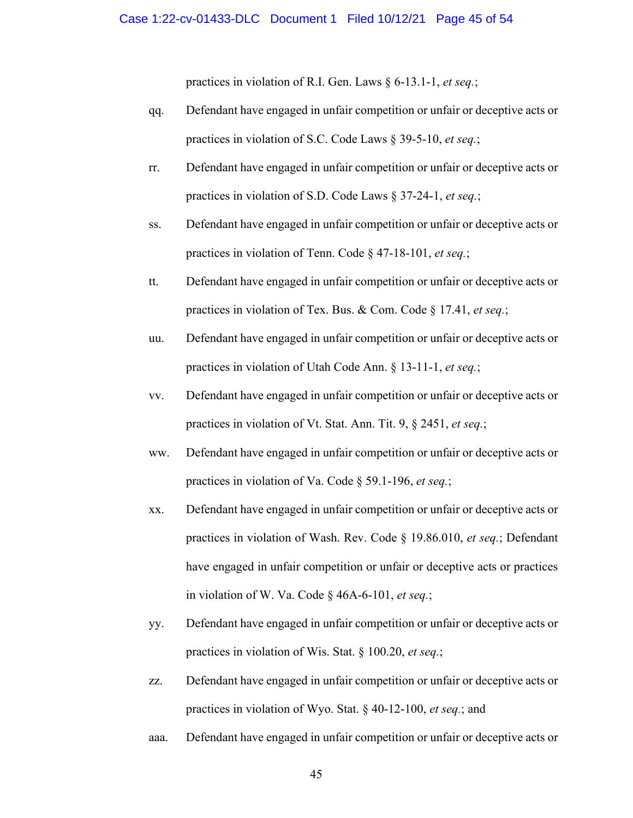practices in violation of R.I. Gen. Laws § 6-13.1-1, *et seq.*;

- qq. Defendant have engaged in unfair competition or unfair or deceptive acts or practices in violation of S.C. Code Laws § 39-5-10, *et seq.*;
- rr. Defendant have engaged in unfair competition or unfair or deceptive acts or practices in violation of S.D. Code Laws § 37-24-1, *et seq.*;
- ss. Defendant have engaged in unfair competition or unfair or deceptive acts or practices in violation of Tenn. Code § 47-18-101, *et seq.*;
- tt. Defendant have engaged in unfair competition or unfair or deceptive acts or practices in violation of Tex. Bus. & Com. Code § 17.41, *et seq.*;
- uu. Defendant have engaged in unfair competition or unfair or deceptive acts or practices in violation of Utah Code Ann. § 13-11-1, *et seq.*;
- vv. Defendant have engaged in unfair competition or unfair or deceptive acts or practices in violation of Vt. Stat. Ann. Tit. 9, § 2451, *et seq.*;
- ww. Defendant have engaged in unfair competition or unfair or deceptive acts or practices in violation of Va. Code § 59.1-196, *et seq.*;
- xx. Defendant have engaged in unfair competition or unfair or deceptive acts or practices in violation of Wash. Rev. Code § 19.86.010, *et seq.*; Defendant have engaged in unfair competition or unfair or deceptive acts or practices in violation of W. Va. Code § 46A-6-101, *et seq.*;
- yy. Defendant have engaged in unfair competition or unfair or deceptive acts or practices in violation of Wis. Stat. § 100.20, *et seq.*;
- zz. Defendant have engaged in unfair competition or unfair or deceptive acts or practices in violation of Wyo. Stat. § 40-12-100, *et seq.*; and
- aaa. Defendant have engaged in unfair competition or unfair or deceptive acts or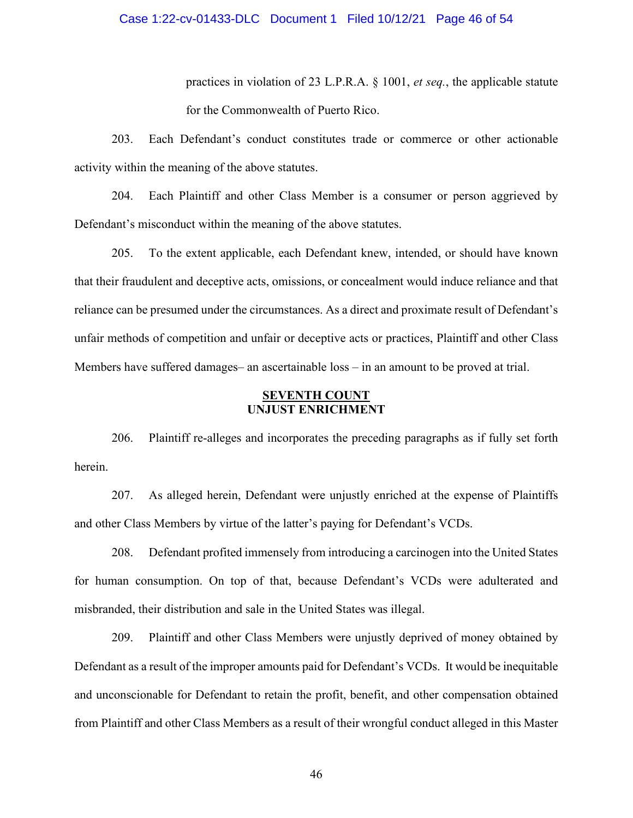### Case 1:22-cv-01433-DLC Document 1 Filed 10/12/21 Page 46 of 54

practices in violation of 23 L.P.R.A. § 1001, *et seq.*, the applicable statute for the Commonwealth of Puerto Rico.

203. Each Defendant's conduct constitutes trade or commerce or other actionable activity within the meaning of the above statutes.

204. Each Plaintiff and other Class Member is a consumer or person aggrieved by Defendant's misconduct within the meaning of the above statutes.

205. To the extent applicable, each Defendant knew, intended, or should have known that their fraudulent and deceptive acts, omissions, or concealment would induce reliance and that reliance can be presumed under the circumstances. As a direct and proximate result of Defendant's unfair methods of competition and unfair or deceptive acts or practices, Plaintiff and other Class Members have suffered damages– an ascertainable loss – in an amount to be proved at trial.

### **SEVENTH COUNT UNJUST ENRICHMENT**

206. Plaintiff re-alleges and incorporates the preceding paragraphs as if fully set forth herein.

207. As alleged herein, Defendant were unjustly enriched at the expense of Plaintiffs and other Class Members by virtue of the latter's paying for Defendant's VCDs.

208. Defendant profited immensely from introducing a carcinogen into the United States for human consumption. On top of that, because Defendant's VCDs were adulterated and misbranded, their distribution and sale in the United States was illegal.

209. Plaintiff and other Class Members were unjustly deprived of money obtained by Defendant as a result of the improper amounts paid for Defendant's VCDs. It would be inequitable and unconscionable for Defendant to retain the profit, benefit, and other compensation obtained from Plaintiff and other Class Members as a result of their wrongful conduct alleged in this Master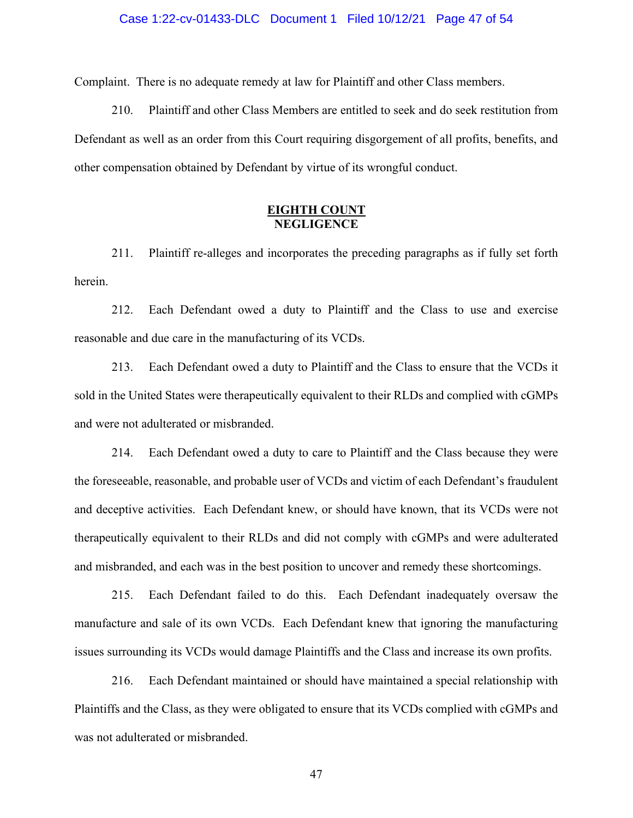#### Case 1:22-cv-01433-DLC Document 1 Filed 10/12/21 Page 47 of 54

Complaint. There is no adequate remedy at law for Plaintiff and other Class members.

210. Plaintiff and other Class Members are entitled to seek and do seek restitution from Defendant as well as an order from this Court requiring disgorgement of all profits, benefits, and other compensation obtained by Defendant by virtue of its wrongful conduct.

## **EIGHTH COUNT NEGLIGENCE**

211. Plaintiff re-alleges and incorporates the preceding paragraphs as if fully set forth herein.

212. Each Defendant owed a duty to Plaintiff and the Class to use and exercise reasonable and due care in the manufacturing of its VCDs.

213. Each Defendant owed a duty to Plaintiff and the Class to ensure that the VCDs it sold in the United States were therapeutically equivalent to their RLDs and complied with cGMPs and were not adulterated or misbranded.

214. Each Defendant owed a duty to care to Plaintiff and the Class because they were the foreseeable, reasonable, and probable user of VCDs and victim of each Defendant's fraudulent and deceptive activities. Each Defendant knew, or should have known, that its VCDs were not therapeutically equivalent to their RLDs and did not comply with cGMPs and were adulterated and misbranded, and each was in the best position to uncover and remedy these shortcomings.

215. Each Defendant failed to do this. Each Defendant inadequately oversaw the manufacture and sale of its own VCDs. Each Defendant knew that ignoring the manufacturing issues surrounding its VCDs would damage Plaintiffs and the Class and increase its own profits.

216. Each Defendant maintained or should have maintained a special relationship with Plaintiffs and the Class, as they were obligated to ensure that its VCDs complied with cGMPs and was not adulterated or misbranded.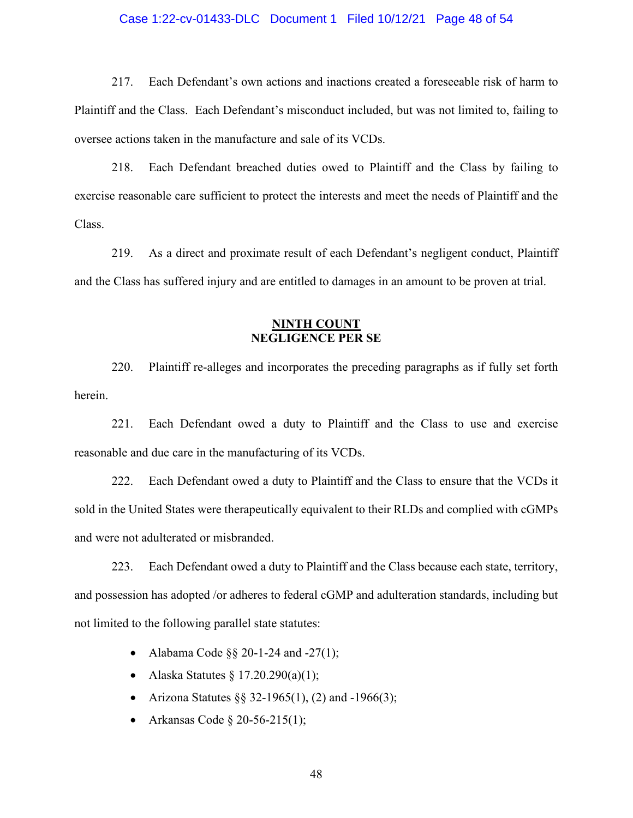# Case 1:22-cv-01433-DLC Document 1 Filed 10/12/21 Page 48 of 54

217. Each Defendant's own actions and inactions created a foreseeable risk of harm to Plaintiff and the Class. Each Defendant's misconduct included, but was not limited to, failing to oversee actions taken in the manufacture and sale of its VCDs.

218. Each Defendant breached duties owed to Plaintiff and the Class by failing to exercise reasonable care sufficient to protect the interests and meet the needs of Plaintiff and the Class.

219. As a direct and proximate result of each Defendant's negligent conduct, Plaintiff and the Class has suffered injury and are entitled to damages in an amount to be proven at trial.

### **NINTH COUNT NEGLIGENCE PER SE**

220. Plaintiff re-alleges and incorporates the preceding paragraphs as if fully set forth herein.

221. Each Defendant owed a duty to Plaintiff and the Class to use and exercise reasonable and due care in the manufacturing of its VCDs.

222. Each Defendant owed a duty to Plaintiff and the Class to ensure that the VCDs it sold in the United States were therapeutically equivalent to their RLDs and complied with cGMPs and were not adulterated or misbranded.

223. Each Defendant owed a duty to Plaintiff and the Class because each state, territory, and possession has adopted /or adheres to federal cGMP and adulteration standards, including but not limited to the following parallel state statutes:

- Alabama Code  $\S$ § 20-1-24 and -27(1);
- Alaska Statutes  $\S 17.20.290(a)(1);$
- Arizona Statutes  $\S$ § 32-1965(1), (2) and -1966(3);
- Arkansas Code  $\S 20 56 215(1);$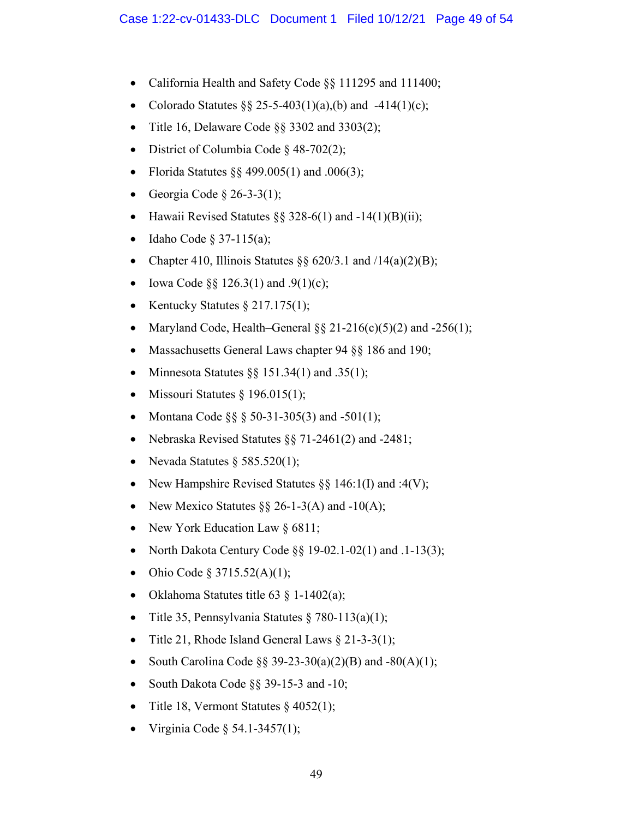- California Health and Safety Code §§ 111295 and 111400;
- Colorado Statutes  $\S$  25-5-403(1)(a),(b) and -414(1)(c);
- Title 16, Delaware Code §§ 3302 and 3303(2);
- District of Columbia Code § 48-702(2);
- Florida Statutes  $\S$ § 499.005(1) and .006(3);
- Georgia Code  $\S$  26-3-3(1);
- Hawaii Revised Statutes §§ 328-6(1) and  $-14(1)(B)(ii)$ ;
- Idaho Code  $\S 37-115(a)$ ;
- Chapter 410, Illinois Statutes  $\S\S 620/3.1$  and  $/14(a)(2)(B)$ ;
- Iowa Code  $\S$ § 126.3(1) and .9(1)(c);
- Kentucky Statutes  $\S 217.175(1);$
- Maryland Code, Health–General  $\S § 21-216(c)(5)(2)$  and  $-256(1)$ ;
- Massachusetts General Laws chapter 94 §§ 186 and 190;
- Minnesota Statutes  $\S$ § 151.34(1) and .35(1);
- Missouri Statutes  $§$  196.015(1);
- Montana Code  $\S$ § § 50-31-305(3) and -501(1);
- Nebraska Revised Statutes  $\S$ § 71-2461(2) and -2481;
- Nevada Statutes  $\S$  585.520(1);
- New Hampshire Revised Statutes  $\S\S 146:1(I)$  and :4(V);
- New Mexico Statutes  $\S\S 26$ -1-3(A) and -10(A);
- New York Education Law § 6811;
- North Dakota Century Code  $\S$ § 19-02.1-02(1) and .1-13(3);
- Ohio Code § 3715.52(A)(1);
- Oklahoma Statutes title 63  $\S$  1-1402(a);
- Title 35, Pennsylvania Statutes  $\S 780-113(a)(1);$
- Title 21, Rhode Island General Laws  $\S$  21-3-3(1);
- South Carolina Code  $\S$ § 39-23-30(a)(2)(B) and -80(A)(1);
- South Dakota Code §§ 39-15-3 and -10;
- Title 18, Vermont Statutes  $§$  4052(1);
- Virginia Code  $\S$  54.1-3457(1);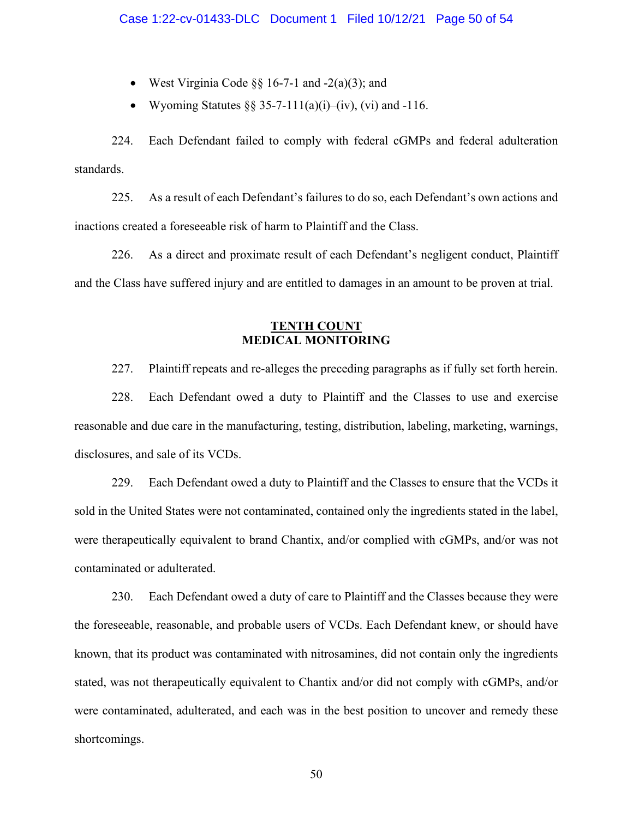- West Virginia Code  $\S$ § 16-7-1 and -2(a)(3); and
- Wyoming Statutes  $\S$ § 35-7-111(a)(i)–(iv), (vi) and -116.

224. Each Defendant failed to comply with federal cGMPs and federal adulteration standards.

225. As a result of each Defendant's failures to do so, each Defendant's own actions and inactions created a foreseeable risk of harm to Plaintiff and the Class.

226. As a direct and proximate result of each Defendant's negligent conduct, Plaintiff and the Class have suffered injury and are entitled to damages in an amount to be proven at trial.

## **TENTH COUNT MEDICAL MONITORING**

227. Plaintiff repeats and re-alleges the preceding paragraphs as if fully set forth herein.

228. Each Defendant owed a duty to Plaintiff and the Classes to use and exercise reasonable and due care in the manufacturing, testing, distribution, labeling, marketing, warnings, disclosures, and sale of its VCDs.

229. Each Defendant owed a duty to Plaintiff and the Classes to ensure that the VCDs it sold in the United States were not contaminated, contained only the ingredients stated in the label, were therapeutically equivalent to brand Chantix, and/or complied with cGMPs, and/or was not contaminated or adulterated.

230. Each Defendant owed a duty of care to Plaintiff and the Classes because they were the foreseeable, reasonable, and probable users of VCDs. Each Defendant knew, or should have known, that its product was contaminated with nitrosamines, did not contain only the ingredients stated, was not therapeutically equivalent to Chantix and/or did not comply with cGMPs, and/or were contaminated, adulterated, and each was in the best position to uncover and remedy these shortcomings.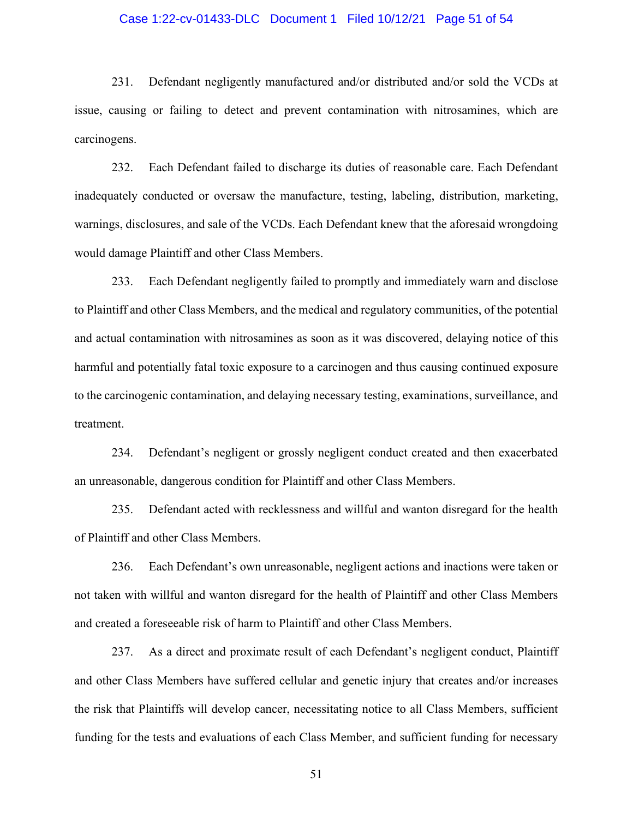### Case 1:22-cv-01433-DLC Document 1 Filed 10/12/21 Page 51 of 54

231. Defendant negligently manufactured and/or distributed and/or sold the VCDs at issue, causing or failing to detect and prevent contamination with nitrosamines, which are carcinogens.

232. Each Defendant failed to discharge its duties of reasonable care. Each Defendant inadequately conducted or oversaw the manufacture, testing, labeling, distribution, marketing, warnings, disclosures, and sale of the VCDs. Each Defendant knew that the aforesaid wrongdoing would damage Plaintiff and other Class Members.

233. Each Defendant negligently failed to promptly and immediately warn and disclose to Plaintiff and other Class Members, and the medical and regulatory communities, of the potential and actual contamination with nitrosamines as soon as it was discovered, delaying notice of this harmful and potentially fatal toxic exposure to a carcinogen and thus causing continued exposure to the carcinogenic contamination, and delaying necessary testing, examinations, surveillance, and treatment.

234. Defendant's negligent or grossly negligent conduct created and then exacerbated an unreasonable, dangerous condition for Plaintiff and other Class Members.

235. Defendant acted with recklessness and willful and wanton disregard for the health of Plaintiff and other Class Members.

236. Each Defendant's own unreasonable, negligent actions and inactions were taken or not taken with willful and wanton disregard for the health of Plaintiff and other Class Members and created a foreseeable risk of harm to Plaintiff and other Class Members.

237. As a direct and proximate result of each Defendant's negligent conduct, Plaintiff and other Class Members have suffered cellular and genetic injury that creates and/or increases the risk that Plaintiffs will develop cancer, necessitating notice to all Class Members, sufficient funding for the tests and evaluations of each Class Member, and sufficient funding for necessary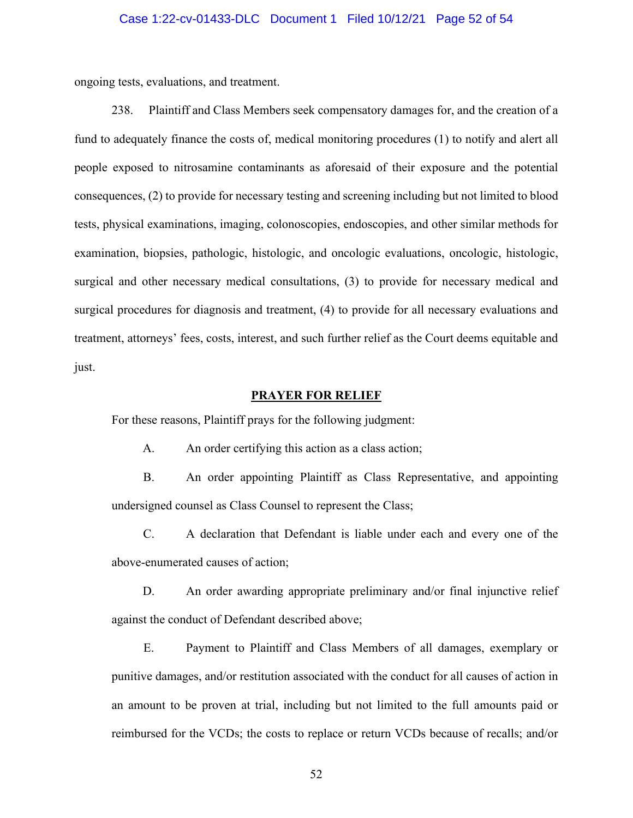### Case 1:22-cv-01433-DLC Document 1 Filed 10/12/21 Page 52 of 54

ongoing tests, evaluations, and treatment.

238. Plaintiff and Class Members seek compensatory damages for, and the creation of a fund to adequately finance the costs of, medical monitoring procedures (1) to notify and alert all people exposed to nitrosamine contaminants as aforesaid of their exposure and the potential consequences, (2) to provide for necessary testing and screening including but not limited to blood tests, physical examinations, imaging, colonoscopies, endoscopies, and other similar methods for examination, biopsies, pathologic, histologic, and oncologic evaluations, oncologic, histologic, surgical and other necessary medical consultations, (3) to provide for necessary medical and surgical procedures for diagnosis and treatment, (4) to provide for all necessary evaluations and treatment, attorneys' fees, costs, interest, and such further relief as the Court deems equitable and just.

### **PRAYER FOR RELIEF**

For these reasons, Plaintiff prays for the following judgment:

A. An order certifying this action as a class action;

B. An order appointing Plaintiff as Class Representative, and appointing undersigned counsel as Class Counsel to represent the Class;

C. A declaration that Defendant is liable under each and every one of the above-enumerated causes of action;

D. An order awarding appropriate preliminary and/or final injunctive relief against the conduct of Defendant described above;

E. Payment to Plaintiff and Class Members of all damages, exemplary or punitive damages, and/or restitution associated with the conduct for all causes of action in an amount to be proven at trial, including but not limited to the full amounts paid or reimbursed for the VCDs; the costs to replace or return VCDs because of recalls; and/or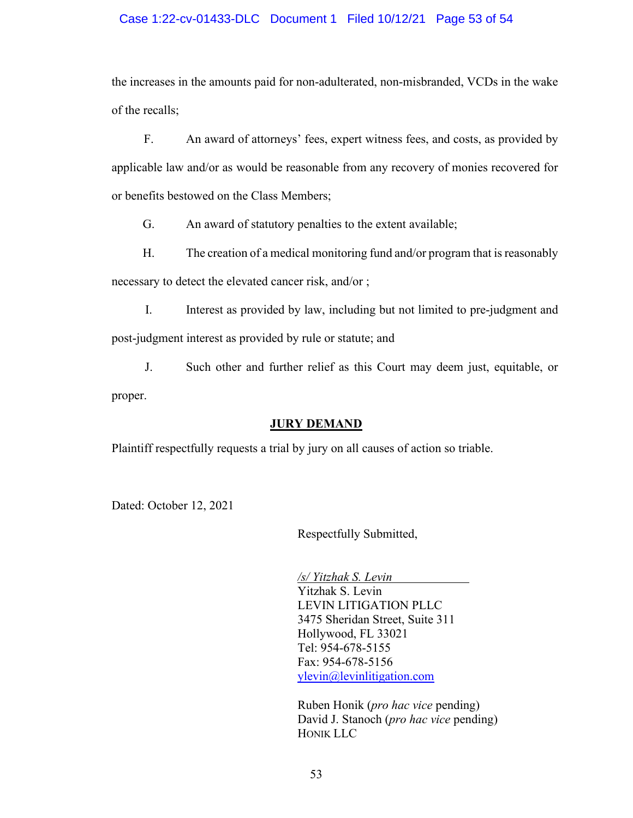# Case 1:22-cv-01433-DLC Document 1 Filed 10/12/21 Page 53 of 54

the increases in the amounts paid for non-adulterated, non-misbranded, VCDs in the wake of the recalls;

F. An award of attorneys' fees, expert witness fees, and costs, as provided by applicable law and/or as would be reasonable from any recovery of monies recovered for or benefits bestowed on the Class Members;

G. An award of statutory penalties to the extent available;

H. The creation of a medical monitoring fund and/or program that is reasonably necessary to detect the elevated cancer risk, and/or ;

I. Interest as provided by law, including but not limited to pre-judgment and post-judgment interest as provided by rule or statute; and

J. Such other and further relief as this Court may deem just, equitable, or proper.

### **JURY DEMAND**

Plaintiff respectfully requests a trial by jury on all causes of action so triable.

Dated: October 12, 2021

Respectfully Submitted,

*/s/ Yitzhak S. Levin*  Yitzhak S. Levin LEVIN LITIGATION PLLC 3475 Sheridan Street, Suite 311 Hollywood, FL 33021 Tel: 954-678-5155 Fax: 954-678-5156 [ylevin@levinlitigation.com](mailto:ylevin@levinlitigation.com) 

Ruben Honik (*pro hac vice* pending) David J. Stanoch (*pro hac vice* pending) HONIK LLC